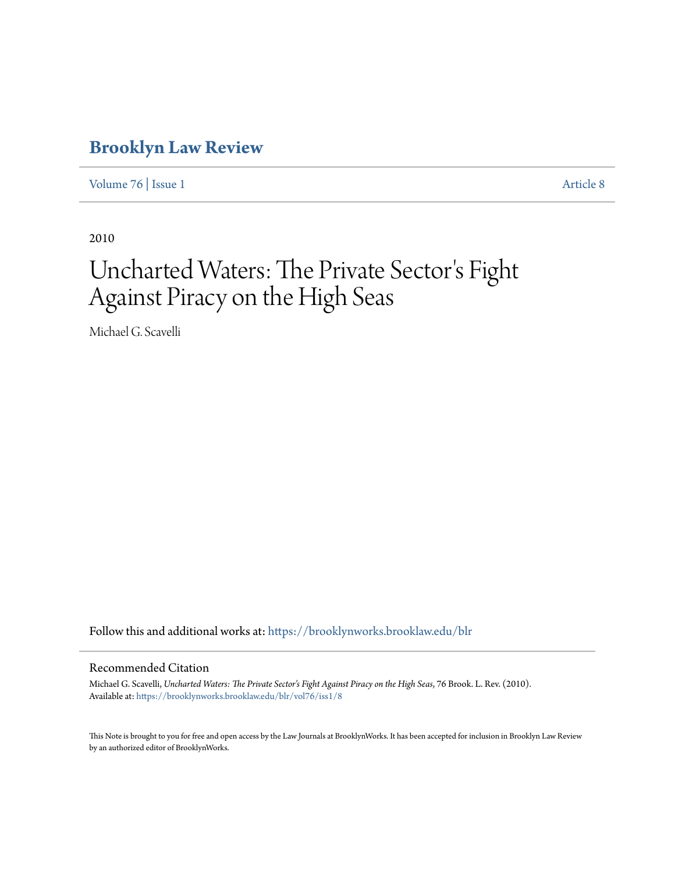# **[Brooklyn Law Review](https://brooklynworks.brooklaw.edu/blr?utm_source=brooklynworks.brooklaw.edu%2Fblr%2Fvol76%2Fiss1%2F8&utm_medium=PDF&utm_campaign=PDFCoverPages)**

[Volume 76](https://brooklynworks.brooklaw.edu/blr/vol76?utm_source=brooklynworks.brooklaw.edu%2Fblr%2Fvol76%2Fiss1%2F8&utm_medium=PDF&utm_campaign=PDFCoverPages) | [Issue 1](https://brooklynworks.brooklaw.edu/blr/vol76/iss1?utm_source=brooklynworks.brooklaw.edu%2Fblr%2Fvol76%2Fiss1%2F8&utm_medium=PDF&utm_campaign=PDFCoverPages) [Article 8](https://brooklynworks.brooklaw.edu/blr/vol76/iss1/8?utm_source=brooklynworks.brooklaw.edu%2Fblr%2Fvol76%2Fiss1%2F8&utm_medium=PDF&utm_campaign=PDFCoverPages)

2010

# Uncharted Waters: The Private Sector 's Fight Against Piracy on the High Seas

Michael G. Scavelli

Follow this and additional works at: [https://brooklynworks.brooklaw.edu/blr](https://brooklynworks.brooklaw.edu/blr?utm_source=brooklynworks.brooklaw.edu%2Fblr%2Fvol76%2Fiss1%2F8&utm_medium=PDF&utm_campaign=PDFCoverPages)

### Recommended Citation

Michael G. Scavelli, *Uncharted Waters: The Private Sector's Fight Against Piracy on the High Seas*, 76 Brook. L. Rev. (2010). Available at: [https://brooklynworks.brooklaw.edu/blr/vol76/iss1/8](https://brooklynworks.brooklaw.edu/blr/vol76/iss1/8?utm_source=brooklynworks.brooklaw.edu%2Fblr%2Fvol76%2Fiss1%2F8&utm_medium=PDF&utm_campaign=PDFCoverPages)

This Note is brought to you for free and open access by the Law Journals at BrooklynWorks. It has been accepted for inclusion in Brooklyn Law Review by an authorized editor of BrooklynWorks.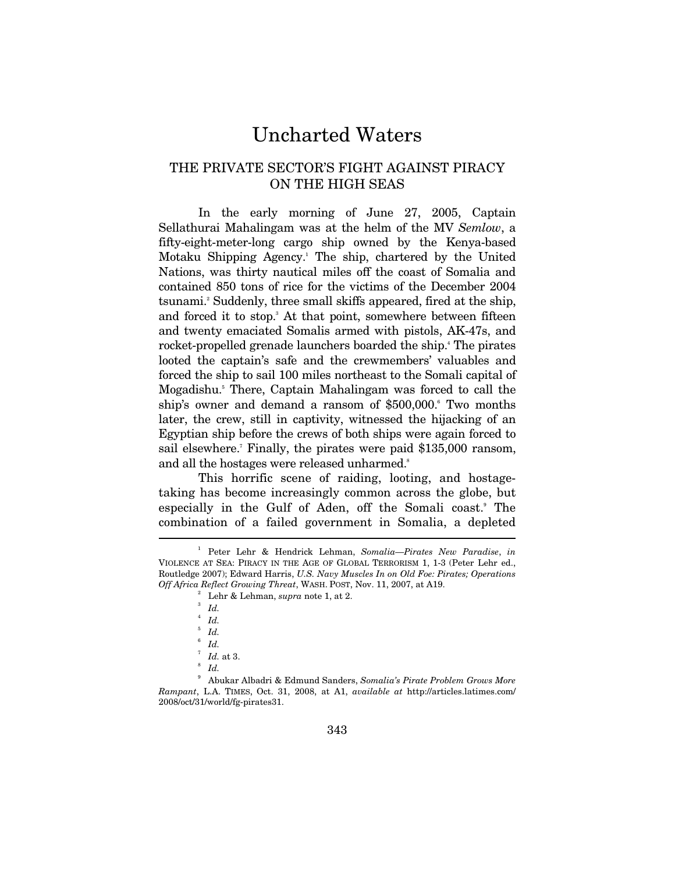# Uncharted Waters

# THE PRIVATE SECTOR'S FIGHT AGAINST PIRACY ON THE HIGH SEAS

In the early morning of June 27, 2005, Captain Sellathurai Mahalingam was at the helm of the MV *Semlow*, a fifty-eight-meter-long cargo ship owned by the Kenya-based Motaku Shipping Agency.1 The ship, chartered by the United Nations, was thirty nautical miles off the coast of Somalia and contained 850 tons of rice for the victims of the December 2004 tsunami.2 Suddenly, three small skiffs appeared, fired at the ship, and forced it to stop.<sup>3</sup> At that point, somewhere between fifteen and twenty emaciated Somalis armed with pistols, AK-47s, and rocket-propelled grenade launchers boarded the ship.<sup>4</sup> The pirates looted the captain's safe and the crewmembers' valuables and forced the ship to sail 100 miles northeast to the Somali capital of Mogadishu.<sup>5</sup> There, Captain Mahalingam was forced to call the ship's owner and demand a ransom of \$500,000. Two months later, the crew, still in captivity, witnessed the hijacking of an Egyptian ship before the crews of both ships were again forced to sail elsewhere.<sup>7</sup> Finally, the pirates were paid \$135,000 ransom, and all the hostages were released unharmed.<sup>8</sup>

This horrific scene of raiding, looting, and hostagetaking has become increasingly common across the globe, but especially in the Gulf of Aden, off the Somali coast.<sup>9</sup> The combination of a failed government in Somalia, a depleted  $\overline{a}$ 

<sup>1</sup> Peter Lehr & Hendrick Lehman, *Somalia—Pirates New Paradise*, *in* VIOLENCE AT SEA: PIRACY IN THE AGE OF GLOBAL TERRORISM 1, 1-3 (Peter Lehr ed., Routledge 2007); Edward Harris, *U.S. Navy Muscles In on Old Foe: Pirates; Operations Off Africa Reflect Growing Threat*, WASH. POST, Nov. 11, 2007, at A19.

<sup>&</sup>lt;sup>2</sup> Lehr & Lehman, *supra* note 1, at 2.

*Id.*

<sup>4</sup> *Id.*

<sup>5</sup> *Id.*

 $6$  *Id.* 

 $\int_{8}^{7}$  *Id.* at 3. *Id.*

<sup>9</sup> Abukar Albadri & Edmund Sanders, *Somalia's Pirate Problem Grows More Rampant*, L.A. TIMES, Oct. 31, 2008, at A1, *available at* http://articles.latimes.com/ 2008/oct/31/world/fg-pirates31.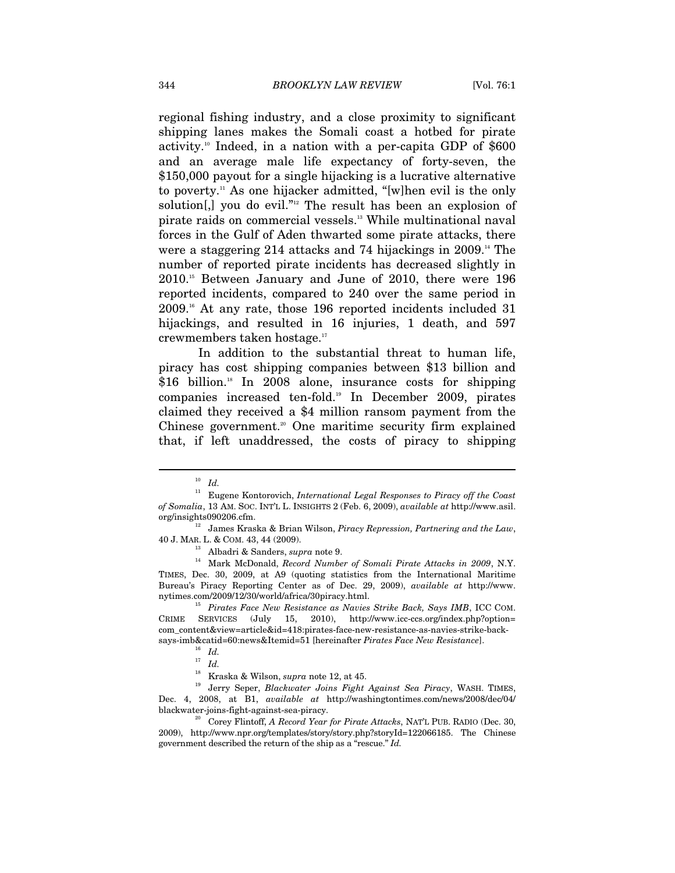regional fishing industry, and a close proximity to significant shipping lanes makes the Somali coast a hotbed for pirate activity.<sup>10</sup> Indeed, in a nation with a per-capita GDP of  $$600$ and an average male life expectancy of forty-seven, the \$150,000 payout for a single hijacking is a lucrative alternative to poverty.11 As one hijacker admitted, "[w]hen evil is the only solution[,] you do evil."<sup>12</sup> The result has been an explosion of pirate raids on commercial vessels.<sup>13</sup> While multinational naval forces in the Gulf of Aden thwarted some pirate attacks, there were a staggering 214 attacks and 74 hijackings in  $2009$ .<sup>14</sup> The number of reported pirate incidents has decreased slightly in 2010.15 Between January and June of 2010, there were 196 reported incidents, compared to 240 over the same period in 2009.16 At any rate, those 196 reported incidents included 31 hijackings, and resulted in 16 injuries, 1 death, and 597 crewmembers taken hostage.17

In addition to the substantial threat to human life, piracy has cost shipping companies between \$13 billion and \$16 billion.<sup>18</sup> In 2008 alone, insurance costs for shipping companies increased ten-fold.19 In December 2009, pirates claimed they received a \$4 million ransom payment from the Chinese government.<sup>20</sup> One maritime security firm explained that, if left unaddressed, the costs of piracy to shipping

 $\overline{a}$ 

40 J. MAR. L. & COM. 43, 44 (2009). 13 Albadri & Sanders, *supra* note 9. 14 Mark McDonald, *Record Number of Somali Pirate Attacks in 2009*, N.Y. TIMES, Dec. 30, 2009, at A9 (quoting statistics from the International Maritime Bureau's Piracy Reporting Center as of Dec. 29, 2009), *available at* http://www. nytimes.com/2009/12/30/world/africa/30piracy.html. 15 *Pirates Face New Resistance as Navies Strike Back, Says IMB*, ICC COM.

CRIME SERVICES (July 15, 2010), http://www.icc-ccs.org/index.php?option= com\_content&view=article&id=418:pirates-face-new-resistance-as-navies-strike-backsays-imb&catid=60:news&Itemid=51 [hereinafter *Pirates Face New Resistance*]. 16 *Id.*

<sup>19</sup> Jerry Seper, *Blackwater Joins Fight Against Sea Piracy*, WASH. TIMES, Dec. 4, 2008, at B1, *available at* http://washingtontimes.com/news/2008/dec/04/

<sup>10</sup> *Id.*

<sup>11</sup> Eugene Kontorovich, *International Legal Responses to Piracy off the Coast of Somalia*, 13 AM. SOC. INT'L L. INSIGHTS 2 (Feb. 6, 2009), *available at* http://www.asil.

 $^{12}$  James Kraska & Brian Wilson, *Piracy Repression, Partnering and the Law*,

<sup>&</sup>lt;sup>17</sup> *Id.*<br><sup>17</sup> *Id.*<br><sup>18</sup> Kraska & Wilson, *supra* note 12, at 45.

blackwater-joins-fight-against-sea-piracy. 20 Corey Flintoff, *A Record Year for Pirate Attacks*, NAT'L PUB. RADIO (Dec. 30, 2009), http://www.npr.org/templates/story/story.php?storyId=122066185. The Chinese government described the return of the ship as a "rescue." *Id.*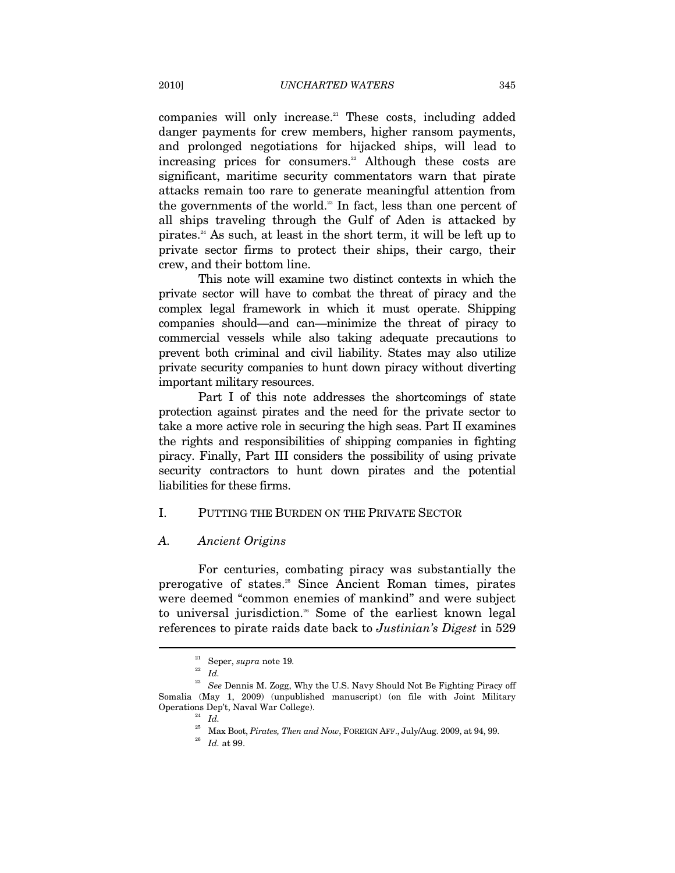companies will only increase.<sup>21</sup> These costs, including added danger payments for crew members, higher ransom payments, and prolonged negotiations for hijacked ships, will lead to increasing prices for consumers.<sup>22</sup> Although these costs are significant, maritime security commentators warn that pirate attacks remain too rare to generate meaningful attention from the governments of the world.<sup>23</sup> In fact, less than one percent of all ships traveling through the Gulf of Aden is attacked by pirates.24 As such, at least in the short term, it will be left up to private sector firms to protect their ships, their cargo, their crew, and their bottom line.

This note will examine two distinct contexts in which the private sector will have to combat the threat of piracy and the complex legal framework in which it must operate. Shipping companies should—and can—minimize the threat of piracy to commercial vessels while also taking adequate precautions to prevent both criminal and civil liability. States may also utilize private security companies to hunt down piracy without diverting important military resources.

Part I of this note addresses the shortcomings of state protection against pirates and the need for the private sector to take a more active role in securing the high seas. Part II examines the rights and responsibilities of shipping companies in fighting piracy. Finally, Part III considers the possibility of using private security contractors to hunt down pirates and the potential liabilities for these firms.

#### I. PUTTING THE BURDEN ON THE PRIVATE SECTOR

#### *A. Ancient Origins*

For centuries, combating piracy was substantially the prerogative of states.25 Since Ancient Roman times, pirates were deemed "common enemies of mankind" and were subject to universal jurisdiction.<sup>26</sup> Some of the earliest known legal references to pirate raids date back to *Justinian's Digest* in 529

 $\sum_{22}^{21}$  Seper, *supra* note 19.

<sup>&</sup>lt;sup>23</sup> See Dennis M. Zogg, Why the U.S. Navy Should Not Be Fighting Piracy off Somalia (May 1, 2009) (unpublished manuscript) (on file with Joint Military Operations Dep't, Naval War College). 24 *Id.*

 $^{25}$  Max Boot,  $Pirates, Then and Now, FOREIGN \, AFF., July/Aug. 2009, at 94, 99.$   $Id.$  at 99.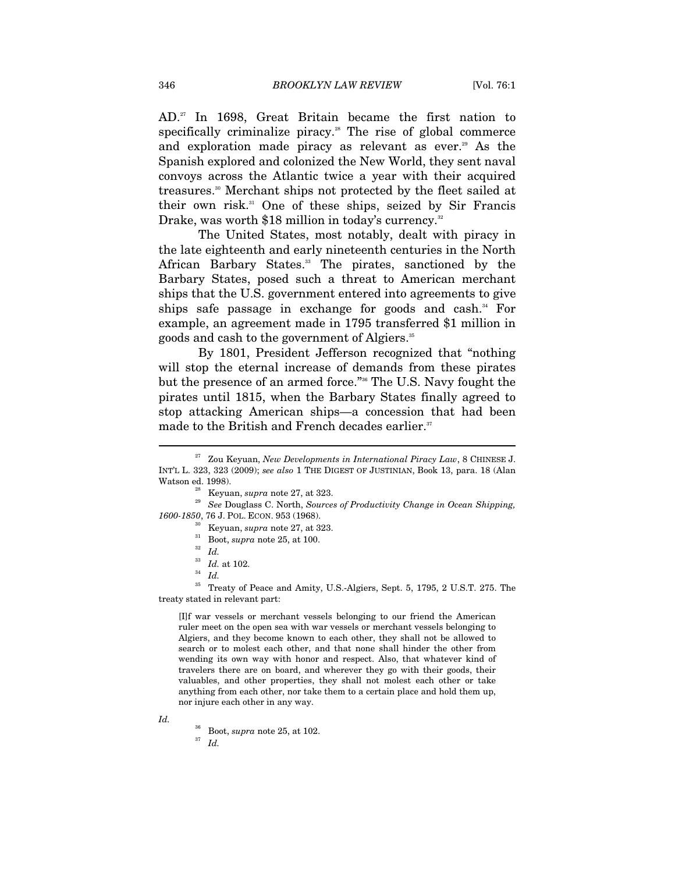AD.27 In 1698, Great Britain became the first nation to specifically criminalize piracy.<sup>28</sup> The rise of global commerce and exploration made piracy as relevant as ever.<sup>29</sup> As the Spanish explored and colonized the New World, they sent naval convoys across the Atlantic twice a year with their acquired treasures.30 Merchant ships not protected by the fleet sailed at their own risk.31 One of these ships, seized by Sir Francis Drake, was worth \$18 million in today's currency.<sup>32</sup>

The United States, most notably, dealt with piracy in the late eighteenth and early nineteenth centuries in the North African Barbary States.<sup>33</sup> The pirates, sanctioned by the Barbary States, posed such a threat to American merchant ships that the U.S. government entered into agreements to give ships safe passage in exchange for goods and cash.<sup>34</sup> For example, an agreement made in 1795 transferred \$1 million in goods and cash to the government of Algiers.<sup>35</sup>

By 1801, President Jefferson recognized that "nothing will stop the eternal increase of demands from these pirates but the presence of an armed force."36 The U.S. Navy fought the pirates until 1815, when the Barbary States finally agreed to stop attacking American ships—a concession that had been made to the British and French decades earlier.<sup>37</sup>

 $\frac{33}{10}$  *Id.* at 102.

[I]f war vessels or merchant vessels belonging to our friend the American ruler meet on the open sea with war vessels or merchant vessels belonging to Algiers, and they become known to each other, they shall not be allowed to search or to molest each other, and that none shall hinder the other from wending its own way with honor and respect. Also, that whatever kind of travelers there are on board, and wherever they go with their goods, their valuables, and other properties, they shall not molest each other or take anything from each other, nor take them to a certain place and hold them up, nor injure each other in any way.

*Id.* 

 $\overline{a}$ 

36 Boot, *supra* note 25, at 102. 37 *Id.*

<sup>&</sup>lt;sup>27</sup> Zou Keyuan, *New Developments in International Piracy Law*, 8 CHINESE J. INT'L L. 323, 323 (2009); *see also* 1 THE DIGEST OF JUSTINIAN, Book 13, para. 18 (Alan

Watson ed. 1998).<br><sup>28</sup> Keyuan, *supra* note 27, at 323.<br><sup>29</sup> *See* Douglass C. North, *Sources of Productivity Change in Ocean Shipping, 1600-1850*, 76 J. POL. ECON. 953 (1968). 30 Keyuan, *supra* note 27, at 323. 31 Boot, *supra* note 25, at 100.

<sup>32</sup> *Id.*

<sup>35</sup> Treaty of Peace and Amity, U.S.-Algiers, Sept. 5, 1795, 2 U.S.T. 275. The treaty stated in relevant part: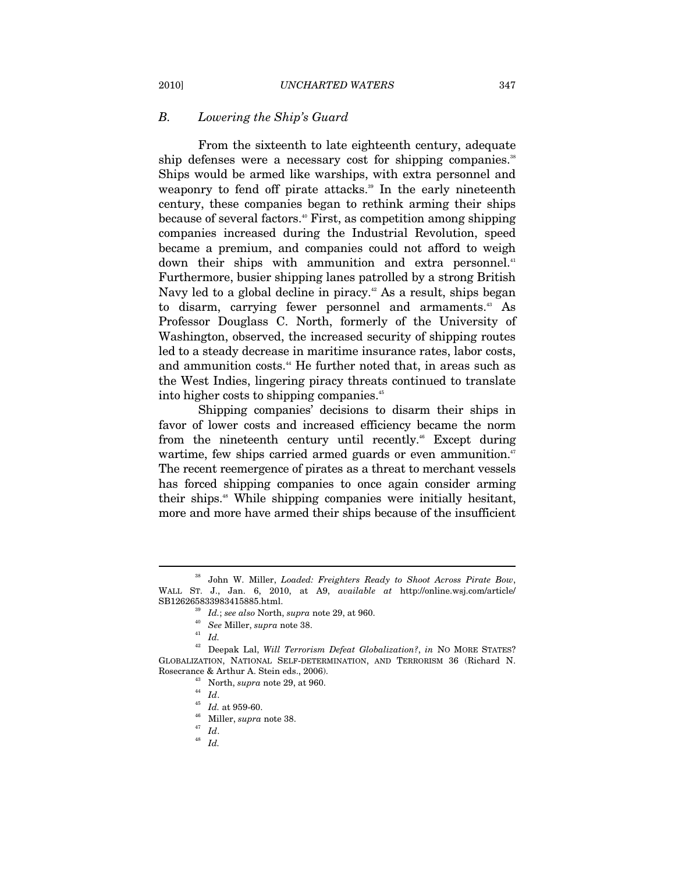#### *B. Lowering the Ship's Guard*

From the sixteenth to late eighteenth century, adequate ship defenses were a necessary cost for shipping companies.<sup>38</sup> Ships would be armed like warships, with extra personnel and weaponry to fend off pirate attacks.<sup>39</sup> In the early nineteenth century, these companies began to rethink arming their ships because of several factors.40 First, as competition among shipping companies increased during the Industrial Revolution, speed became a premium, and companies could not afford to weigh down their ships with ammunition and extra personnel.<sup>41</sup> Furthermore, busier shipping lanes patrolled by a strong British Navy led to a global decline in piracy.<sup>42</sup> As a result, ships began to disarm, carrying fewer personnel and armaments.<sup>43</sup> As Professor Douglass C. North, formerly of the University of Washington, observed, the increased security of shipping routes led to a steady decrease in maritime insurance rates, labor costs, and ammunition costs.<sup>44</sup> He further noted that, in areas such as the West Indies, lingering piracy threats continued to translate into higher costs to shipping companies.<sup>45</sup>

Shipping companies' decisions to disarm their ships in favor of lower costs and increased efficiency became the norm from the nineteenth century until recently.<sup>46</sup> Except during wartime, few ships carried armed guards or even ammunition.<sup>47</sup> The recent reemergence of pirates as a threat to merchant vessels has forced shipping companies to once again consider arming their ships.48 While shipping companies were initially hesitant, more and more have armed their ships because of the insufficient

<sup>38</sup> John W. Miller, *Loaded: Freighters Ready to Shoot Across Pirate Bow*, WALL ST. J., Jan. 6, 2010, at A9, *available at* http://online.wsj.com/article/ SB126265833983415885.html.<br><sup>39</sup> *Id.*; *see also* North, *supra* note 29, at 960.<br><sup>40</sup> *See* Miller, *supra* note 38.<br><sup>42</sup> *Id.* 

<sup>42</sup> Deepak Lal, *Will Terrorism Defeat Globalization?*, *in* NO MORE STATES? GLOBALIZATION, NATIONAL SELF-DETERMINATION, AND TERRORISM 36 (Richard N. Rosecrance & Arthur A. Stein eds., 2006).<br>
<sup>43</sup> North, *supra* note 29, at 960.<br>
<sup>44</sup> *Id.* 45 959-60.<br>
<sup>46</sup> Miller, *supra* note 38.<br>
<sup>47</sup> *Id.* 48 *Id.*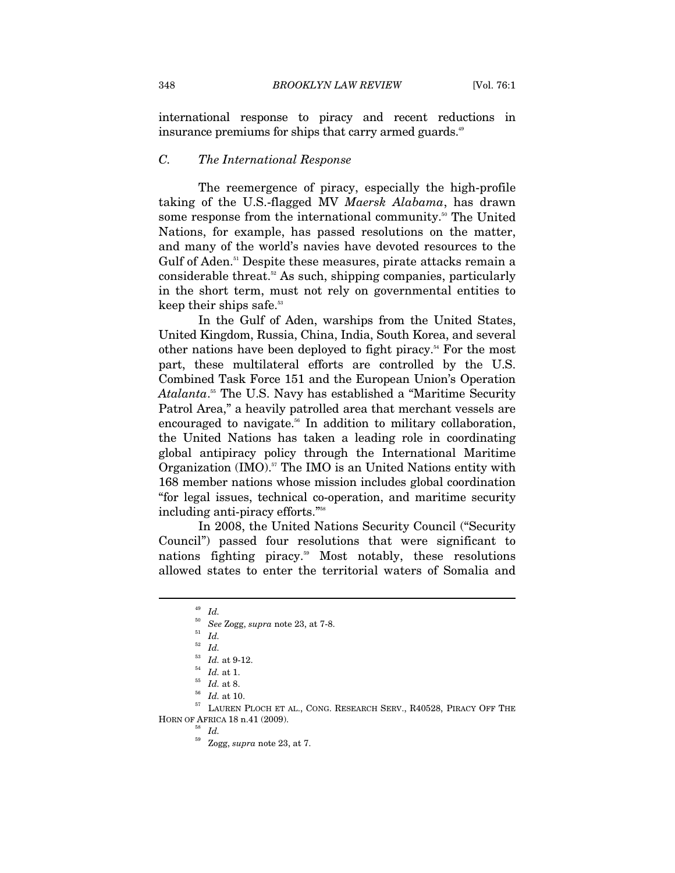international response to piracy and recent reductions in insurance premiums for ships that carry armed guards.<sup>49</sup>

#### *C. The International Response*

The reemergence of piracy, especially the high-profile taking of the U.S.-flagged MV *Maersk Alabama*, has drawn some response from the international community.<sup>50</sup> The United Nations, for example, has passed resolutions on the matter, and many of the world's navies have devoted resources to the Gulf of Aden.<sup>51</sup> Despite these measures, pirate attacks remain a considerable threat.<sup>52</sup> As such, shipping companies, particularly in the short term, must not rely on governmental entities to keep their ships safe.<sup>53</sup>

In the Gulf of Aden, warships from the United States, United Kingdom, Russia, China, India, South Korea, and several other nations have been deployed to fight piracy.54 For the most part, these multilateral efforts are controlled by the U.S. Combined Task Force 151 and the European Union's Operation *Atalanta*. 55 The U.S. Navy has established a "Maritime Security Patrol Area," a heavily patrolled area that merchant vessels are encouraged to navigate.<sup>56</sup> In addition to military collaboration, the United Nations has taken a leading role in coordinating global antipiracy policy through the International Maritime Organization (IMO).<sup>57</sup> The IMO is an United Nations entity with 168 member nations whose mission includes global coordination "for legal issues, technical co-operation, and maritime security including anti-piracy efforts."58

In 2008, the United Nations Security Council ("Security Council") passed four resolutions that were significant to nations fighting piracy.59 Most notably, these resolutions allowed states to enter the territorial waters of Somalia and

 $\overline{a}$ 

 $^{53}$  *Id.* at 1.  $^{54}$  *Id.* at 1.  $^{56}$  *Id.* at 8.  $^{56}$  *Id.* at 10.  $^{57}$  LAUREN PLOCH ET AL., CONG. RESEARCH SERV., R40528, PIRACY OFF THE HORN OF AFRICA 18 n.41 (2009).  $$^{58}$   $\:$   $\!Id.$ 

<sup>49</sup> *Id.*

<sup>50</sup> *See* Zogg, *supra* note 23, at 7-8. 51 *Id.*

 $\int_{53}^{52}$  *Id.* 

<sup>59</sup> Zogg, *supra* note 23, at 7.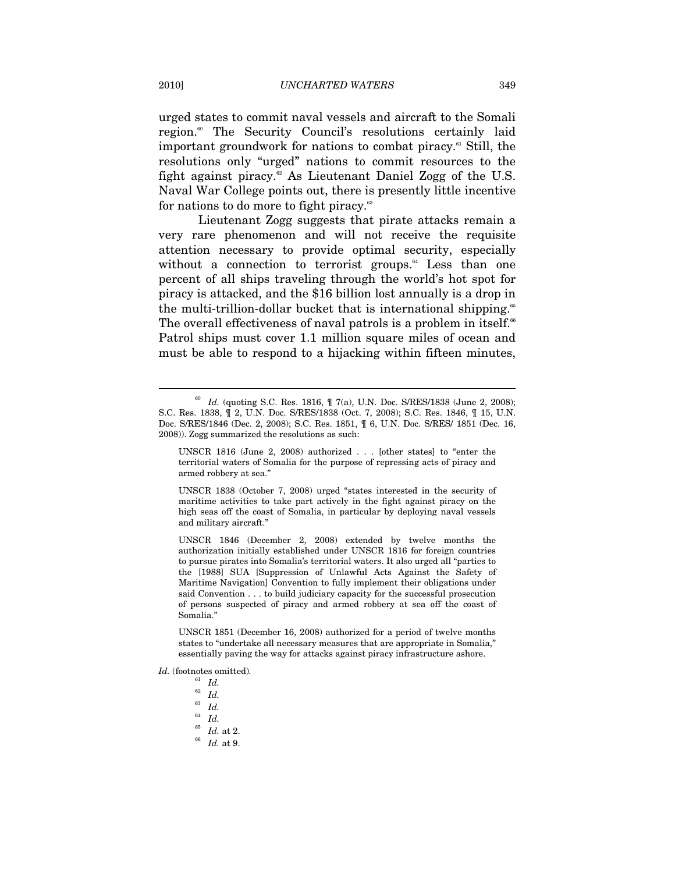urged states to commit naval vessels and aircraft to the Somali region.<sup>60</sup> The Security Council's resolutions certainly laid important groundwork for nations to combat piracy.<sup>61</sup> Still, the resolutions only "urged" nations to commit resources to the fight against piracy.<sup>62</sup> As Lieutenant Daniel Zogg of the U.S. Naval War College points out, there is presently little incentive for nations to do more to fight piracy.<sup>63</sup>

Lieutenant Zogg suggests that pirate attacks remain a very rare phenomenon and will not receive the requisite attention necessary to provide optimal security, especially without a connection to terrorist groups. $64$  Less than one percent of all ships traveling through the world's hot spot for piracy is attacked, and the \$16 billion lost annually is a drop in the multi-trillion-dollar bucket that is international shipping.<sup>65</sup> The overall effectiveness of naval patrols is a problem in itself.<sup>66</sup> Patrol ships must cover 1.1 million square miles of ocean and must be able to respond to a hijacking within fifteen minutes,

*Id.* (footnotes omitted)*.*

- 
- 
- $\begin{array}{c} 63 \ 64 \ \ \ \ \text{Id.} \ 65 \ \ \ \ \text{Id.} \ \ \ \text{at 2.} \end{array}$
- $^{\rm 66}$   $\,$   $Id.\;$  at 9.

 $^{60}$  *Id.* (quoting S.C. Res. 1816,  $\parallel$  7(a), U.N. Doc. S/RES/1838 (June 2, 2008); S.C. Res. 1838, ¶ 2, U.N. Doc. S/RES/1838 (Oct. 7, 2008); S.C. Res. 1846, ¶ 15, U.N. Doc. S/RES/1846 (Dec. 2, 2008); S.C. Res. 1851, ¶ 6, U.N. Doc. S/RES/ 1851 (Dec. 16, 2008)). Zogg summarized the resolutions as such:

UNSCR 1816 (June 2, 2008) authorized . . . [other states] to "enter the territorial waters of Somalia for the purpose of repressing acts of piracy and armed robbery at sea."

UNSCR 1838 (October 7, 2008) urged "states interested in the security of maritime activities to take part actively in the fight against piracy on the high seas off the coast of Somalia, in particular by deploying naval vessels and military aircraft."

UNSCR 1846 (December 2, 2008) extended by twelve months the authorization initially established under UNSCR 1816 for foreign countries to pursue pirates into Somalia's territorial waters. It also urged all "parties to the [1988] SUA [Suppression of Unlawful Acts Against the Safety of Maritime Navigation] Convention to fully implement their obligations under said Convention . . . to build judiciary capacity for the successful prosecution of persons suspected of piracy and armed robbery at sea off the coast of Somalia."

UNSCR 1851 (December 16, 2008) authorized for a period of twelve months states to "undertake all necessary measures that are appropriate in Somalia," essentially paving the way for attacks against piracy infrastructure ashore.

<sup>61</sup> *Id.*

<sup>62</sup> *Id.*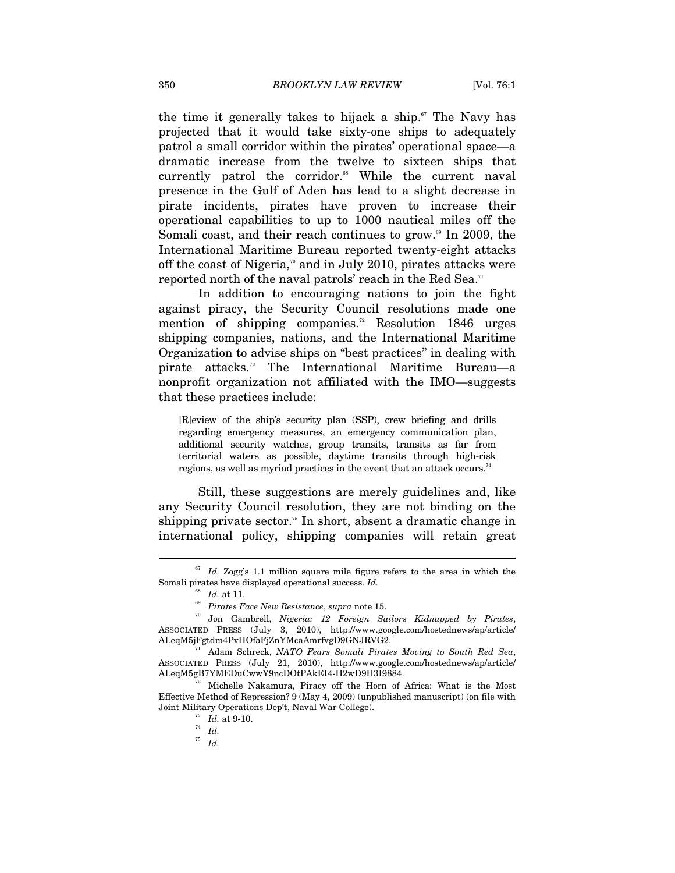the time it generally takes to hijack a ship. $\mathfrak{m}$  The Navy has projected that it would take sixty-one ships to adequately patrol a small corridor within the pirates' operational space—a dramatic increase from the twelve to sixteen ships that currently patrol the corridor.<sup>68</sup> While the current naval presence in the Gulf of Aden has lead to a slight decrease in pirate incidents, pirates have proven to increase their operational capabilities to up to 1000 nautical miles off the Somali coast, and their reach continues to grow.<sup>69</sup> In 2009, the International Maritime Bureau reported twenty-eight attacks off the coast of Nigeria,<sup> $\pi$ </sup> and in July 2010, pirates attacks were reported north of the naval patrols' reach in the Red Sea.<sup>71</sup>

In addition to encouraging nations to join the fight against piracy, the Security Council resolutions made one mention of shipping companies.<sup>72</sup> Resolution 1846 urges shipping companies, nations, and the International Maritime Organization to advise ships on "best practices" in dealing with pirate attacks.73 The International Maritime Bureau—a nonprofit organization not affiliated with the IMO—suggests that these practices include:

[R]eview of the ship's security plan (SSP), crew briefing and drills regarding emergency measures, an emergency communication plan, additional security watches, group transits, transits as far from territorial waters as possible, daytime transits through high-risk regions, as well as myriad practices in the event that an attack occurs.<sup>74</sup>

Still, these suggestions are merely guidelines and, like any Security Council resolution, they are not binding on the shipping private sector.<sup>75</sup> In short, absent a dramatic change in international policy, shipping companies will retain great

 $\overline{a}$ 

<sup>75</sup> *Id.*

<sup>67</sup> *Id.* Zogg's 1.1 million square mile figure refers to the area in which the Somali pirates have displayed operational success. *Id.*

<sup>68</sup> *Id.* at 11. 69 *Pirates Face New Resistance*, *supra* note 15. 70 Jon Gambrell, *Nigeria: 12 Foreign Sailors Kidnapped by Pirates*, ASSOCIATED PRESS (July 3, 2010), http://www.google.com/hostednews/ap/article/ ALeqM5jFgtdm4PvHOfaFjZnYMcaAmrfvgD9GNJRVG2. 71 Adam Schreck, *NATO Fears Somali Pirates Moving to South Red Sea*,

ASSOCIATED PRESS (July 21, 2010), http://www.google.com/hostednews/ap/article/  $\text{AleqM5gBTYMEDuCwwY9ncDOtPAkEI4-H2wD9H3I9884}.$ 

 $H^{72}$  Michelle Nakamura, Piracy off the Horn of Africa: What is the Most Effective Method of Repression? 9 (May 4, 2009) (unpublished manuscript) (on file with Joint Military Operations Dep't, Naval War College). 73 *Id.* at 9-10. 74 *Id.*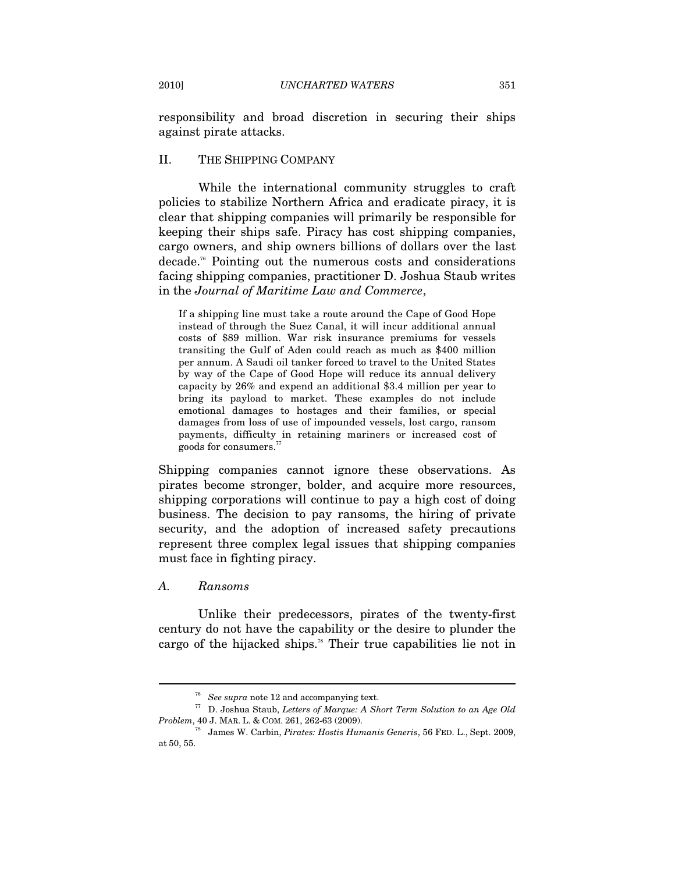responsibility and broad discretion in securing their ships against pirate attacks.

#### II. THE SHIPPING COMPANY

While the international community struggles to craft policies to stabilize Northern Africa and eradicate piracy, it is clear that shipping companies will primarily be responsible for keeping their ships safe. Piracy has cost shipping companies, cargo owners, and ship owners billions of dollars over the last decade.76 Pointing out the numerous costs and considerations facing shipping companies, practitioner D. Joshua Staub writes in the *Journal of Maritime Law and Commerce*,

If a shipping line must take a route around the Cape of Good Hope instead of through the Suez Canal, it will incur additional annual costs of \$89 million. War risk insurance premiums for vessels transiting the Gulf of Aden could reach as much as \$400 million per annum. A Saudi oil tanker forced to travel to the United States by way of the Cape of Good Hope will reduce its annual delivery capacity by 26% and expend an additional \$3.4 million per year to bring its payload to market. These examples do not include emotional damages to hostages and their families, or special damages from loss of use of impounded vessels, lost cargo, ransom payments, difficulty in retaining mariners or increased cost of goods for consumers.77

Shipping companies cannot ignore these observations. As pirates become stronger, bolder, and acquire more resources, shipping corporations will continue to pay a high cost of doing business. The decision to pay ransoms, the hiring of private security, and the adoption of increased safety precautions represent three complex legal issues that shipping companies must face in fighting piracy.

#### *A. Ransoms*

 $\overline{a}$ 

Unlike their predecessors, pirates of the twenty-first century do not have the capability or the desire to plunder the cargo of the hijacked ships.78 Their true capabilities lie not in

<sup>76</sup> *See supra* note 12 and accompanying text. 77 D. Joshua Staub, *Letters of Marque: A Short Term Solution to an Age Old* 

<sup>&</sup>lt;sup>78</sup> James W. Carbin, *Pirates: Hostis Humanis Generis*, 56 FED. L., Sept. 2009, at 50, 55.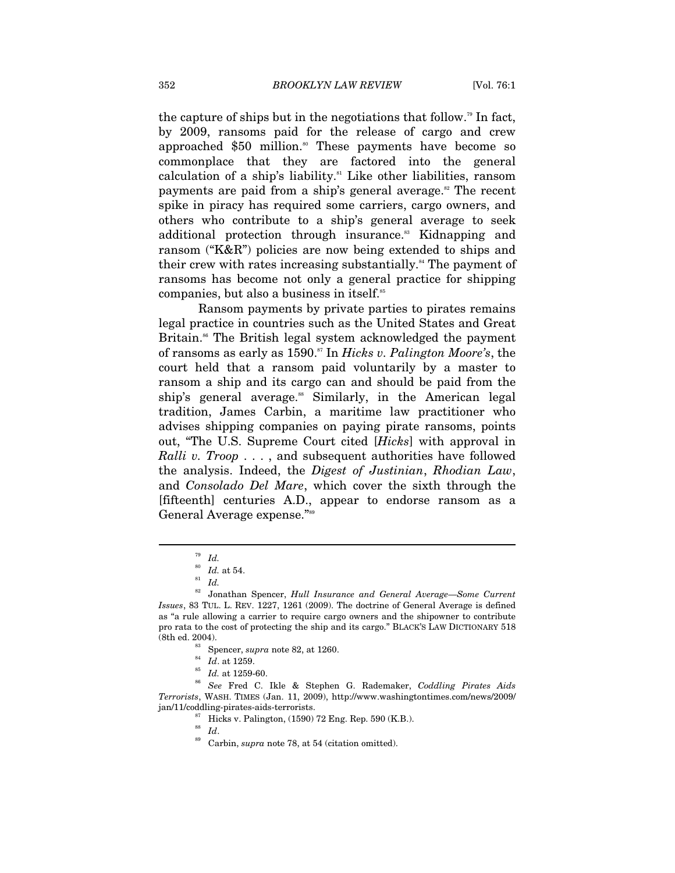the capture of ships but in the negotiations that follow.<sup>79</sup> In fact, by 2009, ransoms paid for the release of cargo and crew approached \$50 million.<sup>80</sup> These payments have become so commonplace that they are factored into the general calculation of a ship's liability.<sup>81</sup> Like other liabilities, ransom payments are paid from a ship's general average.<sup>82</sup> The recent spike in piracy has required some carriers, cargo owners, and others who contribute to a ship's general average to seek additional protection through insurance.<sup>83</sup> Kidnapping and ransom ("K&R") policies are now being extended to ships and their crew with rates increasing substantially.<sup>84</sup> The payment of ransoms has become not only a general practice for shipping companies, but also a business in itself.<sup>85</sup>

Ransom payments by private parties to pirates remains legal practice in countries such as the United States and Great Britain.<sup>86</sup> The British legal system acknowledged the payment of ransoms as early as 1590.87 In *Hicks v. Palington Moore's*, the court held that a ransom paid voluntarily by a master to ransom a ship and its cargo can and should be paid from the ship's general average.<sup>88</sup> Similarly, in the American legal tradition, James Carbin, a maritime law practitioner who advises shipping companies on paying pirate ransoms, points out, "The U.S. Supreme Court cited [*Hicks*] with approval in *Ralli v. Troop* . . . , and subsequent authorities have followed the analysis. Indeed, the *Digest of Justinian*, *Rhodian Law*, and *Consolado Del Mare*, which cover the sixth through the [fifteenth] centuries A.D., appear to endorse ransom as a General Average expense."<sup>89</sup>

 $\overline{a}$ 

<sup>89</sup> Carbin, *supra* note 78, at 54 (citation omitted).

<sup>79</sup> *Id.*

 $\begin{array}{c} 80 \ \text{81} \ \text{82} \ \text{74} \ \text{85} \end{array}$  *Id.* 

<sup>82</sup> Jonathan Spencer, *Hull Insurance and General Average—Some Current Issues*, 83 TUL. L. REV. 1227, 1261 (2009). The doctrine of General Average is defined as "a rule allowing a carrier to require cargo owners and the shipowner to contribute pro rata to the cost of protecting the ship and its cargo." BLACK'S LAW DICTIONARY 518

<sup>%%</sup> Spencer, *supra* note 82, at 1260.<br><sup>84</sup> *Id.* at 1259.<br><sup>85</sup> *Id.* at 1259-60.<br><sup>86</sup> *See* Fred C. Ikle & Stephen G. Rademaker, *Coddling Pirates Aids Terrorists*, WASH. TIMES (Jan. 11, 2009), http://www.washingtontimes.com/news/2009/ % jan/11/coddling-pirates-aids-terrorists.  $\frac{87}{17}$  Hicks v. Palington, (1590) 72 Eng. Rep. 590 (K.B.).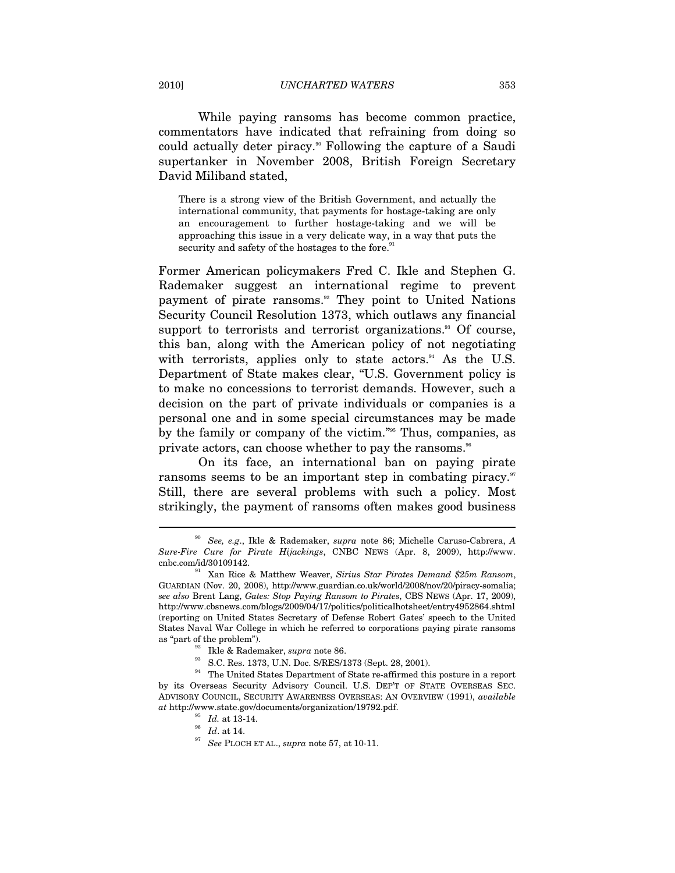While paying ransoms has become common practice, commentators have indicated that refraining from doing so could actually deter piracy.<sup>90</sup> Following the capture of a Saudi supertanker in November 2008, British Foreign Secretary David Miliband stated,

There is a strong view of the British Government, and actually the international community, that payments for hostage-taking are only an encouragement to further hostage-taking and we will be approaching this issue in a very delicate way, in a way that puts the security and safety of the hostages to the fore.<sup>9</sup>

Former American policymakers Fred C. Ikle and Stephen G. Rademaker suggest an international regime to prevent payment of pirate ransoms.<sup>92</sup> They point to United Nations Security Council Resolution 1373, which outlaws any financial support to terrorists and terrorist organizations.<sup>33</sup> Of course, this ban, along with the American policy of not negotiating with terrorists, applies only to state actors.<sup>94</sup> As the U.S. Department of State makes clear, "U.S. Government policy is to make no concessions to terrorist demands. However, such a decision on the part of private individuals or companies is a personal one and in some special circumstances may be made by the family or company of the victim."95 Thus, companies, as private actors, can choose whether to pay the ransoms.<sup>96</sup>

On its face, an international ban on paying pirate ransoms seems to be an important step in combating piracy.<sup>97</sup> Still, there are several problems with such a policy. Most strikingly, the payment of ransoms often makes good business

<sup>90</sup> *See, e.g*., Ikle & Rademaker, *supra* note 86; Michelle Caruso-Cabrera, *A Sure-Fire Cure for Pirate Hijackings*, CNBC NEWS (Apr. 8, 2009), http://www.

<sup>&</sup>lt;sup>91</sup> Xan Rice & Matthew Weaver, *Sirius Star Pirates Demand \$25m Ransom*, GUARDIAN (Nov. 20, 2008), http://www.guardian.co.uk/world/2008/nov/20/piracy-somalia; *see also* Brent Lang, *Gates: Stop Paying Ransom to Pirates*, CBS NEWS (Apr. 17, 2009), http://www.cbsnews.com/blogs/2009/04/17/politics/politicalhotsheet/entry4952864.shtml (reporting on United States Secretary of Defense Robert Gates' speech to the United States Naval War College in which he referred to corporations paying pirate ransoms as "part of the problem").<br><sup>92</sup> Ikle & Rademaker, *supra* note 86.<br><sup>93</sup> S.C. Res. 1373, U.N. Doc. S/RES/1373 (Sept. 28, 2001).

 $^\mathrm{94}$  The United States Department of State re-affirmed this posture in a report by its Overseas Security Advisory Council. U.S. DEP'T OF STATE OVERSEAS SEC. ADVISORY COUNCIL, SECURITY AWARENESS OVERSEAS: AN OVERVIEW (1991), *available*   $at$ http://www.state.gov/documents/organization/19792.pdf.<br>  $1d.$  at 13-14.<br>  $\frac{^{96}}{^{97}}$   $Id.$  at 14.<br>  $\frac{^{97}}{^{97}}$  *See* PLOCH ET AL., *supra* note 57, at 10-11.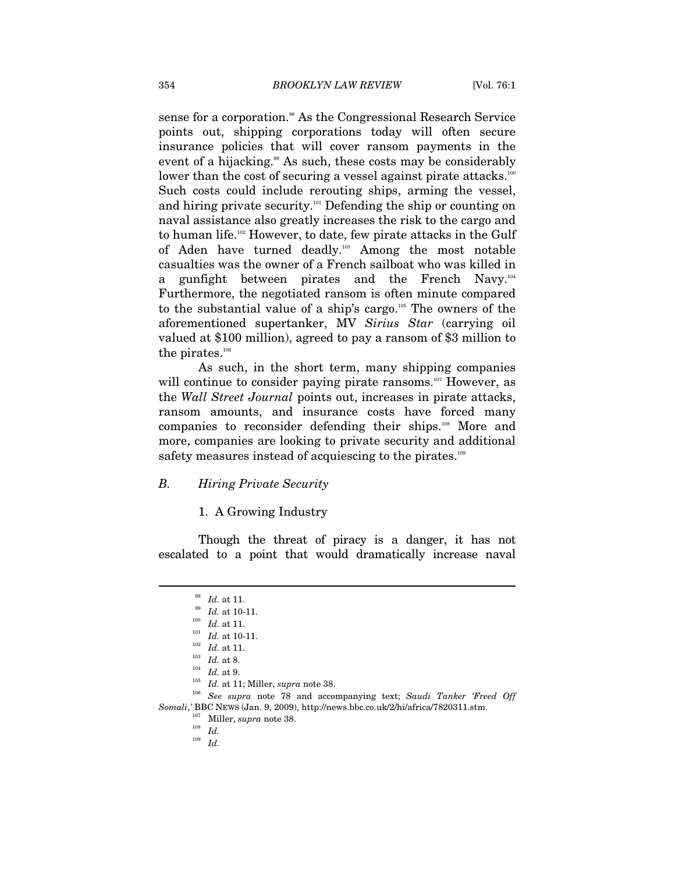sense for a corporation.<sup>98</sup> As the Congressional Research Service points out, shipping corporations today will often secure insurance policies that will cover ransom payments in the event of a hijacking.<sup>99</sup> As such, these costs may be considerably lower than the cost of securing a vessel against pirate attacks.<sup>100</sup> Such costs could include rerouting ships, arming the vessel, and hiring private security.<sup>101</sup> Defending the ship or counting on naval assistance also greatly increases the risk to the cargo and to human life.<sup>102</sup> However, to date, few pirate attacks in the Gulf of Aden have turned deadly.103 Among the most notable casualties was the owner of a French sailboat who was killed in a gunfight between pirates and the French Navy.<sup>104</sup> Furthermore, the negotiated ransom is often minute compared to the substantial value of a ship's cargo.105 The owners of the aforementioned supertanker, MV *Sirius Star* (carrying oil valued at \$100 million), agreed to pay a ransom of \$3 million to the pirates. $106$ 

As such, in the short term, many shipping companies will continue to consider paying pirate ransoms.<sup>107</sup> However, as the *Wall Street Journal* points out, increases in pirate attacks, ransom amounts, and insurance costs have forced many companies to reconsider defending their ships.108 More and more, companies are looking to private security and additional safety measures instead of acquiescing to the pirates.<sup>109</sup>

#### *B. Hiring Private Security*

1. A Growing Industry

Though the threat of piracy is a danger, it has not escalated to a point that would dramatically increase naval

<sup>&</sup>lt;sup>98</sup> *Id.* at 11.<br>
<sup>99</sup> *Id.* at 10-11.<br> *Id.* at 11.<br>
<sup>101</sup> *Id.* at 10-11.<br>
<sup>102</sup> *Id.* at 11.<br>
<sup>103</sup> *Id.* at 11.<br> *Id.* at 8.<br>
<sup>104</sup> *Id.* at 9.<br>
<sup>104</sup> *Id.* at 11; Miller, *supra* note 38.<br> *See supra* note 78 and ac *Somali*,*'* BBC NEWS (Jan. 9, 2009), http://news.bbc.co.uk/2/hi/africa/7820311.stm. 107 Miller, *supra* note 38. 108 *Id.*

 $109$   $\,$   $Id.$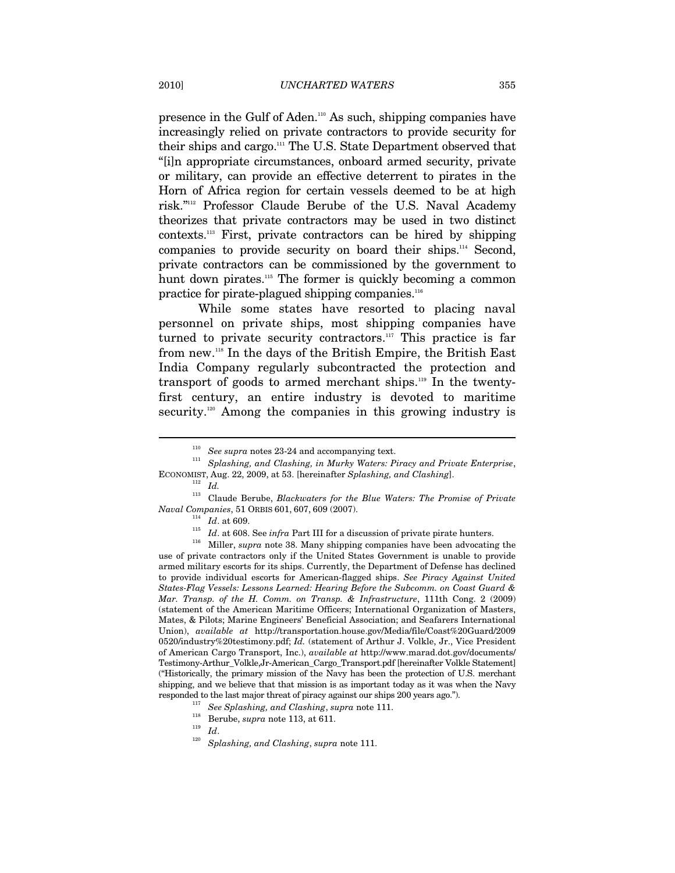presence in the Gulf of Aden.110 As such, shipping companies have increasingly relied on private contractors to provide security for their ships and cargo.111 The U.S. State Department observed that "[i]n appropriate circumstances, onboard armed security, private or military, can provide an effective deterrent to pirates in the Horn of Africa region for certain vessels deemed to be at high risk."112 Professor Claude Berube of the U.S. Naval Academy theorizes that private contractors may be used in two distinct contexts.113 First, private contractors can be hired by shipping companies to provide security on board their ships.<sup>114</sup> Second, private contractors can be commissioned by the government to hunt down pirates.<sup>115</sup> The former is quickly becoming a common practice for pirate-plagued shipping companies.<sup>116</sup>

While some states have resorted to placing naval personnel on private ships, most shipping companies have turned to private security contractors.<sup>117</sup> This practice is far from new.118 In the days of the British Empire, the British East India Company regularly subcontracted the protection and transport of goods to armed merchant ships.119 In the twentyfirst century, an entire industry is devoted to maritime security.<sup>120</sup> Among the companies in this growing industry is

 $\overline{a}$ 

113 Claude Berube, *Blackwaters for the Blue Waters: The Promise of Private* 

<sup>114</sup> *Id.* at 609.<br><sup>115</sup> *Id.* at 608. See *infra* Part III for a discussion of private pirate hunters.<br><sup>116</sup> Miller, *supra* note 38. Many shipping companies have been advocating the use of private contractors only if the United States Government is unable to provide armed military escorts for its ships. Currently, the Department of Defense has declined to provide individual escorts for American-flagged ships. *See Piracy Against United States-Flag Vessels: Lessons Learned: Hearing Before the Subcomm. on Coast Guard & Mar. Transp. of the H. Comm. on Transp. & Infrastructure*, 111th Cong. 2 (2009) (statement of the American Maritime Officers; International Organization of Masters, Mates, & Pilots; Marine Engineers' Beneficial Association; and Seafarers International Union), *available at* http://transportation.house.gov/Media/file/Coast%20Guard/2009 0520/industry%20testimony.pdf; *Id.* (statement of Arthur J. Volkle, Jr., Vice President of American Cargo Transport, Inc.), *available at* http://www.marad.dot.gov/documents/ Testimony-Arthur\_Volkle,Jr-American\_Cargo\_Transport.pdf [hereinafter Volkle Statement] ("Historically, the primary mission of the Navy has been the protection of U.S. merchant shipping, and we believe that that mission is as important today as it was when the Navy responded to the last major threat of piracy against our ships 200 years ago.").<br>
<sup>117</sup> See Splashing, and Clashing, supra note 111.<br>
<sup>118</sup> Berube, *supra* note 113, at 611.<br>
<sup>119</sup> Id.<br> *Splashing, and Clashing, supra* no

<sup>&</sup>lt;sup>110</sup> See supra notes 23-24 and accompanying text.<br><sup>111</sup> Splashing, and Clashing, in Murky Waters: Piracy and Private Enterprise, ECONOMIST, Aug. 22, 2009, at 53. [hereinafter *Splashing, and Clashing*]. 112 *Id.*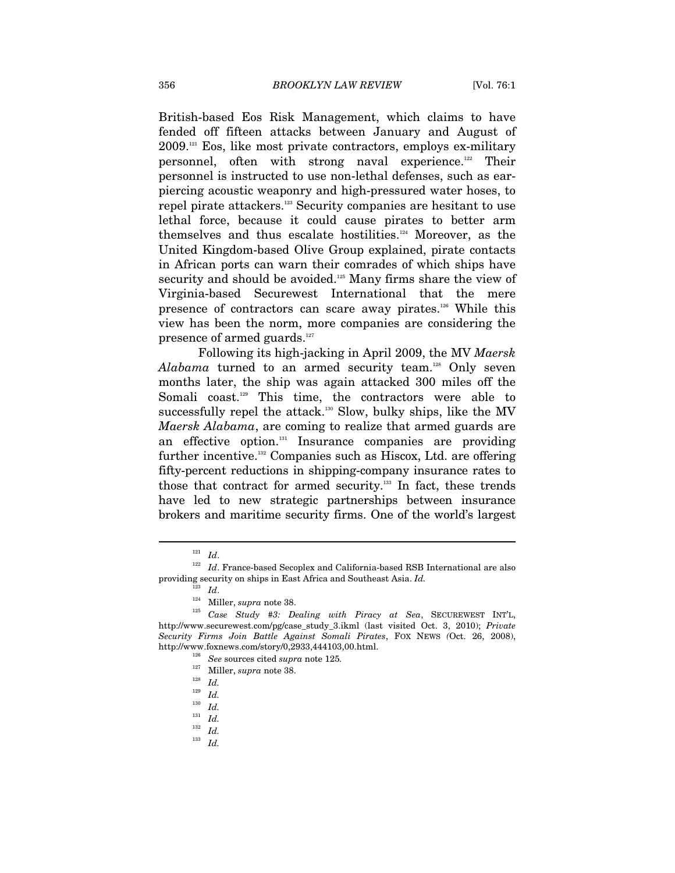British-based Eos Risk Management, which claims to have fended off fifteen attacks between January and August of  $2009$ <sup>121</sup> Eos, like most private contractors, employs ex-military personnel, often with strong naval experience.122 Their personnel is instructed to use non-lethal defenses, such as earpiercing acoustic weaponry and high-pressured water hoses, to repel pirate attackers.123 Security companies are hesitant to use lethal force, because it could cause pirates to better arm themselves and thus escalate hostilities.124 Moreover, as the United Kingdom-based Olive Group explained, pirate contacts in African ports can warn their comrades of which ships have security and should be avoided.<sup>125</sup> Many firms share the view of Virginia-based Securewest International that the mere presence of contractors can scare away pirates.126 While this view has been the norm, more companies are considering the presence of armed guards.<sup>127</sup>

Following its high-jacking in April 2009, the MV *Maersk*  Alabama turned to an armed security team.<sup>128</sup> Only seven months later, the ship was again attacked 300 miles off the Somali coast.<sup>129</sup> This time, the contractors were able to successfully repel the attack.<sup>130</sup> Slow, bulky ships, like the MV *Maersk Alabama*, are coming to realize that armed guards are an effective option.<sup>131</sup> Insurance companies are providing further incentive.132 Companies such as Hiscox, Ltd. are offering fifty-percent reductions in shipping-company insurance rates to those that contract for armed security.<sup>133</sup> In fact, these trends have led to new strategic partnerships between insurance brokers and maritime security firms. One of the world's largest

 $\overline{a}$ 

<sup>133</sup> *Id.*

 $121 \;$   $Id.$   $122 \;$   $Id.$  France-based Secoplex and California-based RSB International are also providing security on ships in East Africa and Southeast Asia. *Id.*

<sup>123</sup> *Id*. 124 Miller, *supra* note 38. 125 *Case Study #3: Dealing with Piracy at Sea*, SECUREWEST INT'L, http://www.securewest.com/pg/case\_study\_3.ikml (last visited Oct. 3, 2010); *Private Security Firms Join Battle Against Somali Pirates*, FOX NEWS *(*Oct. 26, 2008), http://www.foxnews.com/story/0,2933,444103,00.html. 126 *See* sources cited *supra* note 125*.*

<sup>127</sup> Miller, *supra* note 38. 128 *Id.*

 $\frac{129}{130}$  *Id.* 

 $\frac{130}{131}$  *Id.* 

<sup>131</sup> *Id.*

<sup>132</sup> *Id.*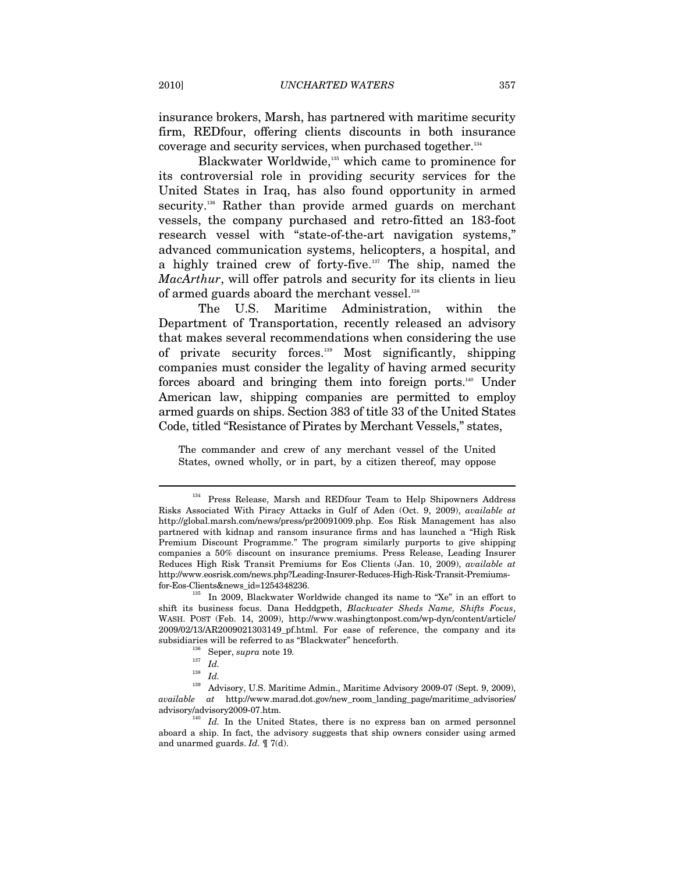insurance brokers, Marsh, has partnered with maritime security firm, REDfour, offering clients discounts in both insurance coverage and security services, when purchased together.134

Blackwater Worldwide,<sup>135</sup> which came to prominence for its controversial role in providing security services for the United States in Iraq, has also found opportunity in armed security.<sup>136</sup> Rather than provide armed guards on merchant vessels, the company purchased and retro-fitted an 183-foot research vessel with "state-of-the-art navigation systems," advanced communication systems, helicopters, a hospital, and a highly trained crew of forty-five.137 The ship, named the *MacArthur*, will offer patrols and security for its clients in lieu of armed guards aboard the merchant vessel.<sup>138</sup>

The U.S. Maritime Administration, within the Department of Transportation, recently released an advisory that makes several recommendations when considering the use of private security forces.139 Most significantly, shipping companies must consider the legality of having armed security forces aboard and bringing them into foreign ports.140 Under American law, shipping companies are permitted to employ armed guards on ships. Section 383 of title 33 of the United States Code, titled "Resistance of Pirates by Merchant Vessels," states,

The commander and crew of any merchant vessel of the United States, owned wholly, or in part, by a citizen thereof, may oppose

<sup>&</sup>lt;sup>134</sup> Press Release, Marsh and REDfour Team to Help Shipowners Address Risks Associated With Piracy Attacks in Gulf of Aden (Oct. 9, 2009), *available at* http://global.marsh.com/news/press/pr20091009.php. Eos Risk Management has also partnered with kidnap and ransom insurance firms and has launched a "High Risk Premium Discount Programme." The program similarly purports to give shipping companies a 50% discount on insurance premiums. Press Release, Leading Insurer Reduces High Risk Transit Premiums for Eos Clients (Jan. 10, 2009), *available at* http://www.eosrisk.com/news.php?Leading-Insurer-Reduces-High-Risk-Transit-Premiums-

for-Eos-Clients&news\_id=1254348236. 135 In 2009, Blackwater Worldwide changed its name to "Xe" in an effort to shift its business focus. Dana Heddgpeth, *Blackwater Sheds Name, Shifts Focus*, WASH. POST (Feb. 14, 2009), http://www.washingtonpost.com/wp-dyn/content/article/ 2009/02/13/AR2009021303149\_pf.html. For ease of reference, the company and its subsidiaries will be referred to as "Blackwater" henceforth. 136 Seper, *supra* note 19*.*

<sup>137</sup> *Id.*

<sup>138</sup> *Id.* 

 $^{139}~$  Advisory, U.S. Maritime Admin., Maritime Advisory 2009-07 (Sept. 9, 2009), *available at* http://www.marad.dot.gov/new\_room\_landing\_page/maritime\_advisories/ advisory/advisory2009-07.htm.<br><sup>140</sup> *Id.* In the United States, there is no express ban on armed personnel

aboard a ship. In fact, the advisory suggests that ship owners consider using armed and unarmed guards. *Id.* ¶ 7(d).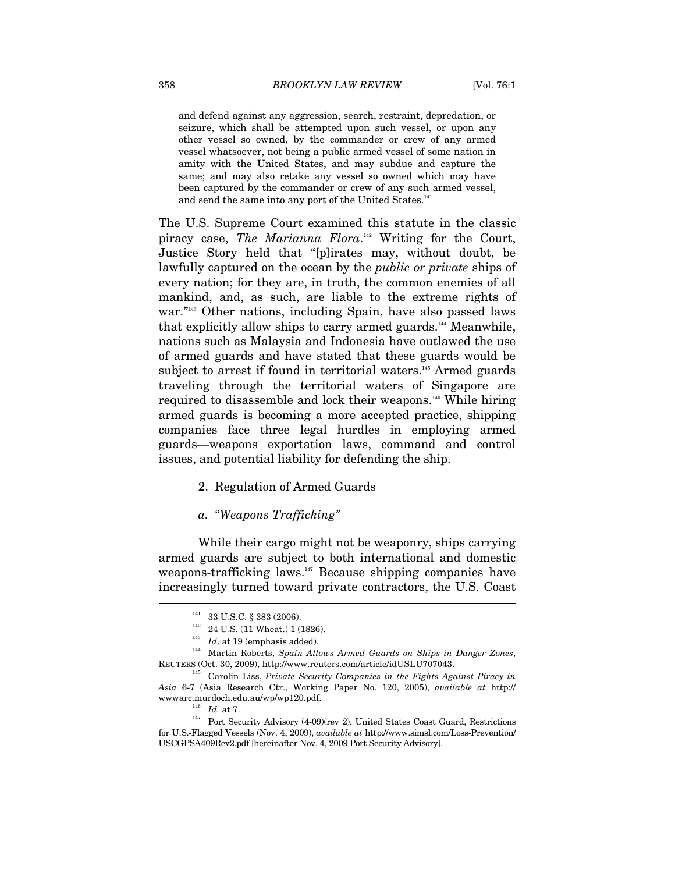and defend against any aggression, search, restraint, depredation, or seizure, which shall be attempted upon such vessel, or upon any other vessel so owned, by the commander or crew of any armed vessel whatsoever, not being a public armed vessel of some nation in amity with the United States, and may subdue and capture the same; and may also retake any vessel so owned which may have been captured by the commander or crew of any such armed vessel, and send the same into any port of the United States.<sup>141</sup>

The U.S. Supreme Court examined this statute in the classic piracy case, *The Marianna Flora*. 142 Writing for the Court, Justice Story held that "[p]irates may, without doubt, be lawfully captured on the ocean by the *public or private* ships of every nation; for they are, in truth, the common enemies of all mankind, and, as such, are liable to the extreme rights of war."<sup>143</sup> Other nations, including Spain, have also passed laws that explicitly allow ships to carry armed guards.<sup>144</sup> Meanwhile, nations such as Malaysia and Indonesia have outlawed the use of armed guards and have stated that these guards would be subject to arrest if found in territorial waters.<sup>145</sup> Armed guards traveling through the territorial waters of Singapore are required to disassemble and lock their weapons.146 While hiring armed guards is becoming a more accepted practice, shipping companies face three legal hurdles in employing armed guards—weapons exportation laws, command and control issues, and potential liability for defending the ship.

## 2. Regulation of Armed Guards

### *a. "Weapons Trafficking"*

While their cargo might not be weaponry, ships carrying armed guards are subject to both international and domestic weapons-trafficking laws.<sup>147</sup> Because shipping companies have increasingly turned toward private contractors, the U.S. Coast  $\overline{a}$ 

<sup>141 33</sup> U.S.C. § 383 (2006). 142 24 U.S. (11 Wheat.) 1 (1826). 143 *Id*. at 19 (emphasis added). 144 Martin Roberts, *Spain Allows Armed Guards on Ships in Danger Zones*, REUTERS (Oct. 30, 2009), http://www.reuters.com/article/idUSLU707043.

<sup>145</sup> Carolin Liss, *Private Security Companies in the Fights Against Piracy in Asia* 6-7 (Asia Research Ctr., Working Paper No. 120, 2005), *available at* http:// wwwarc.murdoch.edu.au/wp/wp120.pdf.  $Id.$  at 7. <br><sup>146</sup> *Id.* at 7. <br>Port Security Advisory (4-09)(rev 2), United States Coast Guard, Restrictions

for U.S.-Flagged Vessels (Nov. 4, 2009), *available at* http://www.simsl.com/Loss-Prevention/ USCGPSA409Rev2.pdf [hereinafter Nov. 4, 2009 Port Security Advisory].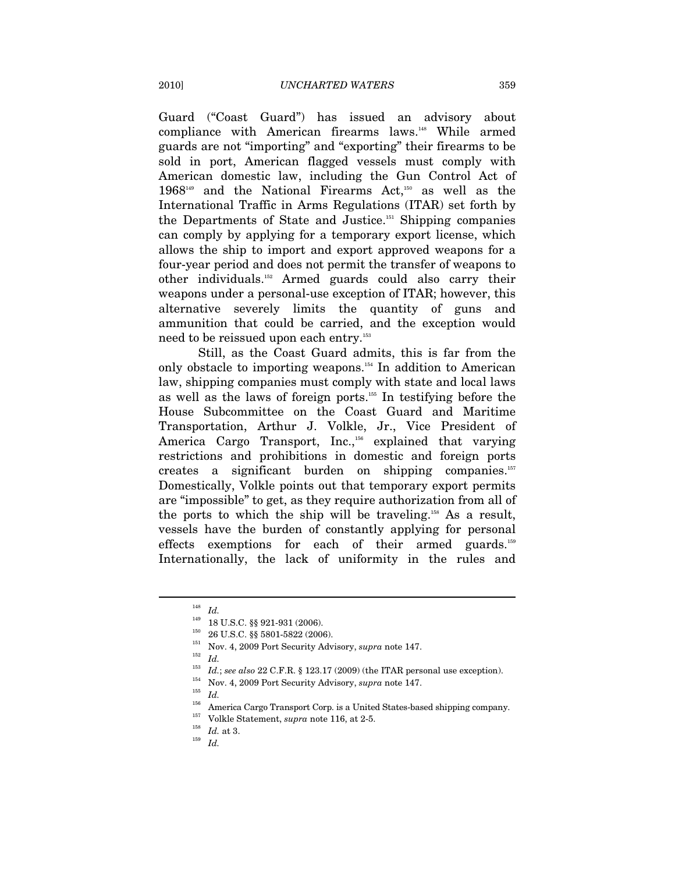Guard ("Coast Guard") has issued an advisory about compliance with American firearms laws.<sup>148</sup> While armed guards are not "importing" and "exporting" their firearms to be sold in port, American flagged vessels must comply with American domestic law, including the Gun Control Act of  $1968^{149}$  and the National Firearms Act,<sup>150</sup> as well as the International Traffic in Arms Regulations (ITAR) set forth by the Departments of State and Justice.151 Shipping companies can comply by applying for a temporary export license, which allows the ship to import and export approved weapons for a four-year period and does not permit the transfer of weapons to other individuals.152 Armed guards could also carry their weapons under a personal-use exception of ITAR; however, this alternative severely limits the quantity of guns and ammunition that could be carried, and the exception would need to be reissued upon each entry.<sup>153</sup>

Still, as the Coast Guard admits, this is far from the only obstacle to importing weapons.154 In addition to American law, shipping companies must comply with state and local laws as well as the laws of foreign ports.155 In testifying before the House Subcommittee on the Coast Guard and Maritime Transportation, Arthur J. Volkle, Jr., Vice President of America Cargo Transport, Inc.,<sup>156</sup> explained that varying restrictions and prohibitions in domestic and foreign ports creates a significant burden on shipping companies.<sup>157</sup> Domestically, Volkle points out that temporary export permits are "impossible" to get, as they require authorization from all of the ports to which the ship will be traveling.158 As a result, vessels have the burden of constantly applying for personal effects exemptions for each of their armed guards.159 Internationally, the lack of uniformity in the rules and

 $\frac{148}{149}$  *Id.* 

<sup>1&</sup>lt;sup>49</sup> 18 U.S.C. §§ 921-931 (2006).<br>
<sup>150</sup> 26 U.S.C. §§ 5801-5822 (2006).<br>
<sup>151</sup> Nov. 4, 2009 Port Security Advisory, *supra* note 147.<br>
<sup>152</sup> *Id.*<br>
<sup>152</sup> *Id.* 

<sup>153</sup> *Id.*; *see also* 22 C.F.R. § 123.17 (2009) (the ITAR personal use exception).<br>
154 Nov. 4, 2009 Port Security Advisory, *supra* note 147.<br>
155 *Id.*<br>
155 America Carga Transport Carp is a United States based shipping

<sup>&</sup>lt;sup>156</sup> America Cargo Transport Corp. is a United States-based shipping company.<br><sup>157</sup> Volkle Statement, *supra* note 116, at 2-5.<br><sup>158</sup> *Id.* at 3.<br>*Id*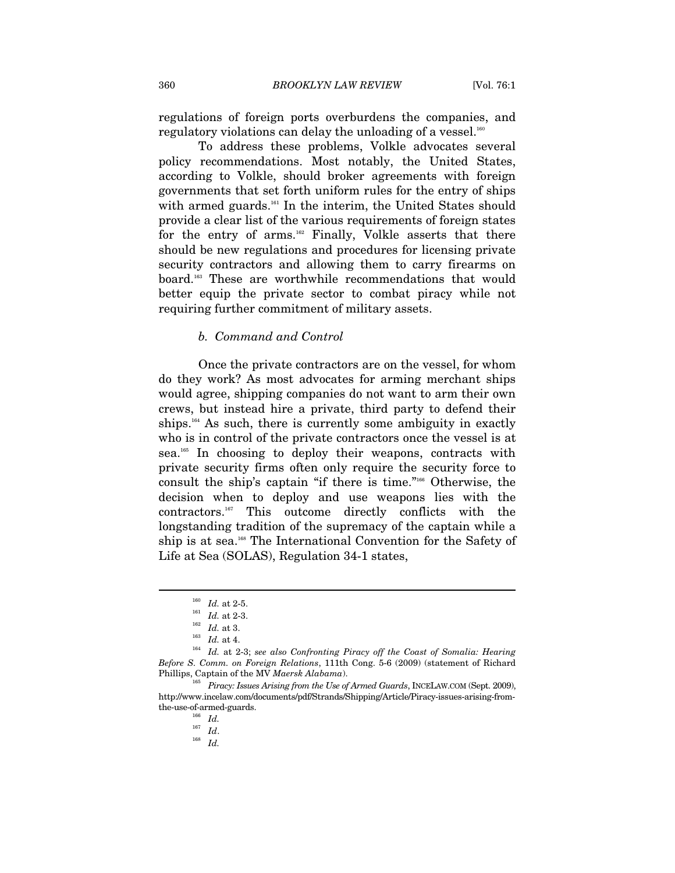regulations of foreign ports overburdens the companies, and regulatory violations can delay the unloading of a vessel. $160$ 

To address these problems, Volkle advocates several policy recommendations. Most notably, the United States, according to Volkle, should broker agreements with foreign governments that set forth uniform rules for the entry of ships with armed guards.<sup>161</sup> In the interim, the United States should provide a clear list of the various requirements of foreign states for the entry of arms.<sup>162</sup> Finally, Volkle asserts that there should be new regulations and procedures for licensing private security contractors and allowing them to carry firearms on board.163 These are worthwhile recommendations that would better equip the private sector to combat piracy while not requiring further commitment of military assets.

#### *b. Command and Control*

Once the private contractors are on the vessel, for whom do they work? As most advocates for arming merchant ships would agree, shipping companies do not want to arm their own crews, but instead hire a private, third party to defend their ships.<sup>164</sup> As such, there is currently some ambiguity in exactly who is in control of the private contractors once the vessel is at sea.165 In choosing to deploy their weapons, contracts with private security firms often only require the security force to consult the ship's captain "if there is time."166 Otherwise, the decision when to deploy and use weapons lies with the contractors.167 This outcome directly conflicts with the longstanding tradition of the supremacy of the captain while a ship is at sea.<sup>168</sup> The International Convention for the Safety of Life at Sea (SOLAS), Regulation 34-1 states,

 $\overline{a}$ 

<sup>167</sup> *Id*. 168 *Id.*

<sup>160</sup> *Id.* at 2-5. 161 *Id.* at 2-3. 162 *Id.* at 3. 163 *Id.* at 4. 164 *Id.* at 2-3; *see also Confronting Piracy off the Coast of Somalia: Hearing Before S. Comm. on Foreign Relations*, 111th Cong. 5-6 (2009) (statement of Richard

Phillips, Captain of the MV *Maersk Alabama*). 165 *Piracy: Issues Arising from the Use of Armed Guards*, INCELAW.COM (Sept. 2009), http://www.incelaw.com/documents/pdf/Strands/Shipping/Article/Piracy-issues-arising-fromthe-use-of-armed-guards.<br>  $\begin{array}{cc} 166 & Id. \\ 167 & Id. \end{array}$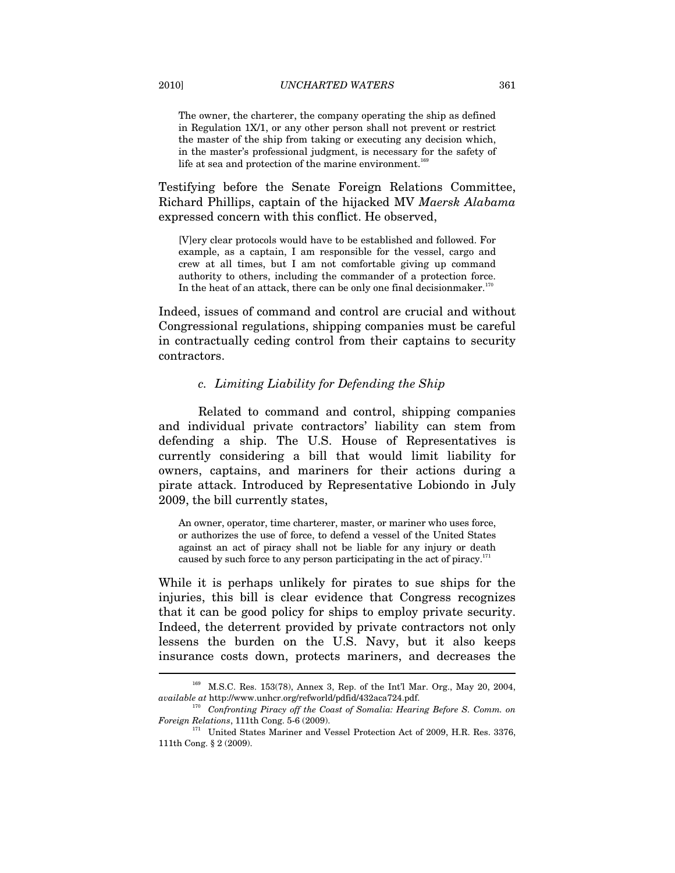The owner, the charterer, the company operating the ship as defined in Regulation 1X/1, or any other person shall not prevent or restrict the master of the ship from taking or executing any decision which, in the master's professional judgment, is necessary for the safety of life at sea and protection of the marine environment.<sup>16</sup>

Testifying before the Senate Foreign Relations Committee, Richard Phillips, captain of the hijacked MV *Maersk Alabama* expressed concern with this conflict. He observed,

[V]ery clear protocols would have to be established and followed. For example, as a captain, I am responsible for the vessel, cargo and crew at all times, but I am not comfortable giving up command authority to others, including the commander of a protection force. In the heat of an attack, there can be only one final decision maker. $170^\circ$ 

Indeed, issues of command and control are crucial and without Congressional regulations, shipping companies must be careful in contractually ceding control from their captains to security contractors.

#### *c. Limiting Liability for Defending the Ship*

Related to command and control, shipping companies and individual private contractors' liability can stem from defending a ship. The U.S. House of Representatives is currently considering a bill that would limit liability for owners, captains, and mariners for their actions during a pirate attack. Introduced by Representative Lobiondo in July 2009, the bill currently states,

An owner, operator, time charterer, master, or mariner who uses force, or authorizes the use of force, to defend a vessel of the United States against an act of piracy shall not be liable for any injury or death caused by such force to any person participating in the act of piracy.<sup>171</sup>

While it is perhaps unlikely for pirates to sue ships for the injuries, this bill is clear evidence that Congress recognizes that it can be good policy for ships to employ private security. Indeed, the deterrent provided by private contractors not only lessens the burden on the U.S. Navy, but it also keeps insurance costs down, protects mariners, and decreases the  $\overline{a}$ 

<sup>169</sup> M.S.C. Res. 153(78), Annex 3, Rep. of the Int'l Mar. Org., May 20, 2004, *available at http://www.unhcr.org/refworld/pdfid/432aca724.pdf.* 

<sup>&</sup>lt;sup>170</sup> Confronting Piracy off the Coast of Somalia: Hearing Before S. Comm. on *Foreign Relations*, 111th Cong. 5-6 (2009).

 $^{\rm I71}$  United States Mariner and Vessel Protection Act of 2009, H.R. Res. 3376, 111th Cong. § 2 (2009).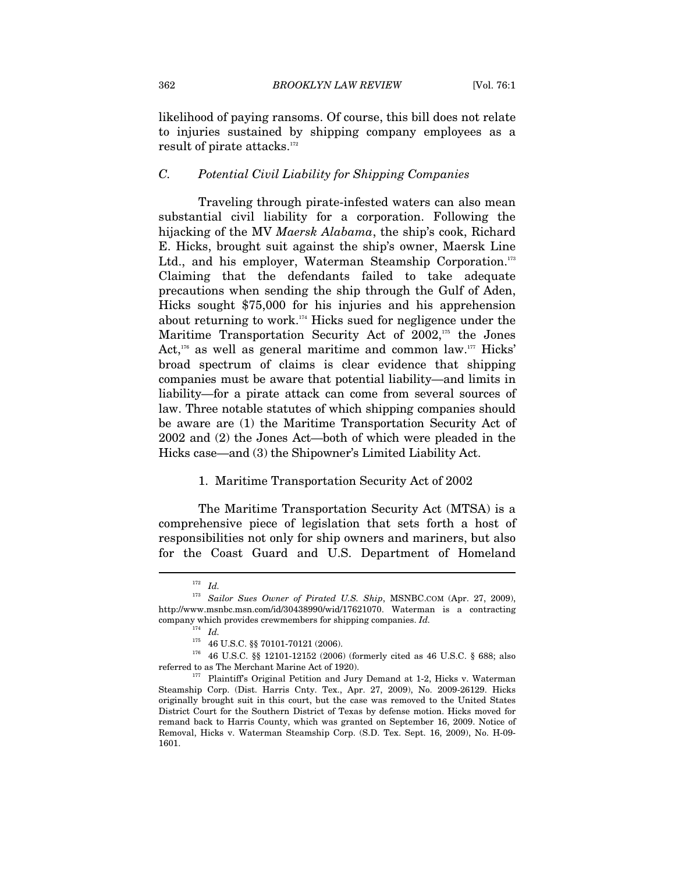likelihood of paying ransoms. Of course, this bill does not relate to injuries sustained by shipping company employees as a  $result of$  pirate attacks. $172$ 

#### *C. Potential Civil Liability for Shipping Companies*

Traveling through pirate-infested waters can also mean substantial civil liability for a corporation. Following the hijacking of the MV *Maersk Alabama*, the ship's cook, Richard E. Hicks, brought suit against the ship's owner, Maersk Line Ltd., and his employer, Waterman Steamship Corporation.<sup>173</sup> Claiming that the defendants failed to take adequate precautions when sending the ship through the Gulf of Aden, Hicks sought \$75,000 for his injuries and his apprehension about returning to work.174 Hicks sued for negligence under the Maritime Transportation Security Act of 2002,<sup>175</sup> the Jones Act, $176$  as well as general maritime and common law.<sup>177</sup> Hicks' broad spectrum of claims is clear evidence that shipping companies must be aware that potential liability—and limits in liability—for a pirate attack can come from several sources of law. Three notable statutes of which shipping companies should be aware are (1) the Maritime Transportation Security Act of 2002 and (2) the Jones Act—both of which were pleaded in the Hicks case—and (3) the Shipowner's Limited Liability Act.

#### 1. Maritime Transportation Security Act of 2002

The Maritime Transportation Security Act (MTSA) is a comprehensive piece of legislation that sets forth a host of responsibilities not only for ship owners and mariners, but also for the Coast Guard and U.S. Department of Homeland

 $^{172}\;$   $Id.$ 

<sup>173</sup> *Sailor Sues Owner of Pirated U.S. Ship*, MSNBC.COM (Apr. 27, 2009), http://www.msnbc.msn.com/id/30438990/wid/17621070. Waterman is a contracting company which provides crewmembers for shipping companies. *Id.*  $Id$ .  $I75$  46 U.S.C. §§ 70101-70121 (2006).

 $176$  46 U.S.C. §§ 12101-12152 (2006) (formerly cited as 46 U.S.C. § 688; also referred to as The Merchant Marine Act of 1920). 177 Plaintiff's Original Petition and Jury Demand at 1-2, Hicks v. Waterman

Steamship Corp. (Dist. Harris Cnty. Tex., Apr. 27, 2009), No. 2009-26129. Hicks originally brought suit in this court, but the case was removed to the United States District Court for the Southern District of Texas by defense motion. Hicks moved for remand back to Harris County, which was granted on September 16, 2009. Notice of Removal, Hicks v. Waterman Steamship Corp. (S.D. Tex. Sept. 16, 2009), No. H-09- 1601.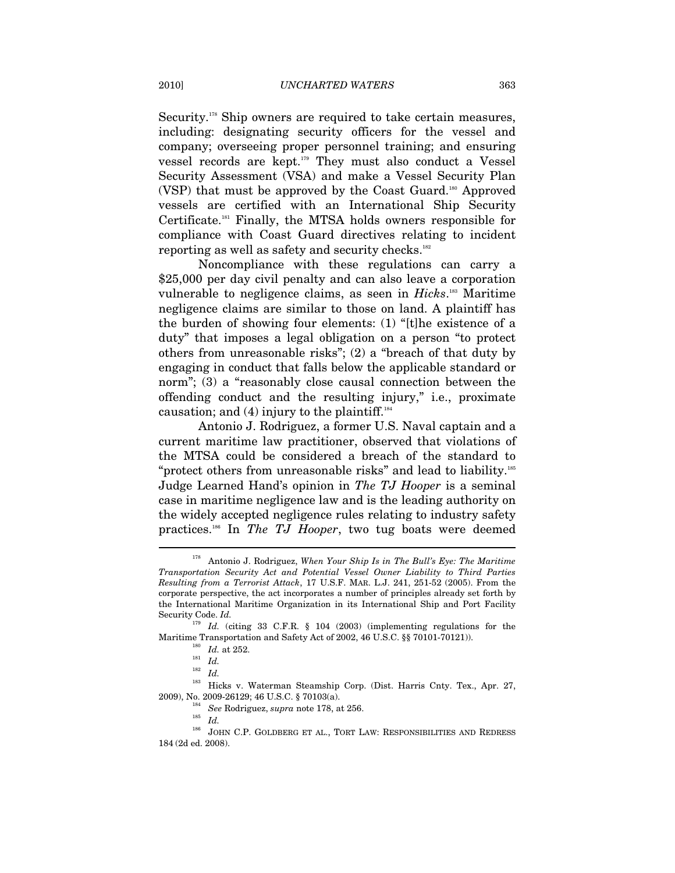Security.<sup>178</sup> Ship owners are required to take certain measures, including: designating security officers for the vessel and company; overseeing proper personnel training; and ensuring vessel records are kept.179 They must also conduct a Vessel Security Assessment (VSA) and make a Vessel Security Plan (VSP) that must be approved by the Coast Guard.<sup>180</sup> Approved vessels are certified with an International Ship Security Certificate.181 Finally, the MTSA holds owners responsible for compliance with Coast Guard directives relating to incident reporting as well as safety and security checks.<sup>182</sup>

Noncompliance with these regulations can carry a \$25,000 per day civil penalty and can also leave a corporation vulnerable to negligence claims, as seen in *Hicks*.<sup>183</sup> Maritime negligence claims are similar to those on land. A plaintiff has the burden of showing four elements: (1) "[t]he existence of a duty" that imposes a legal obligation on a person "to protect others from unreasonable risks"; (2) a "breach of that duty by engaging in conduct that falls below the applicable standard or norm"; (3) a "reasonably close causal connection between the offending conduct and the resulting injury," i.e., proximate causation; and  $(4)$  injury to the plaintiff.<sup>184</sup>

Antonio J. Rodriguez, a former U.S. Naval captain and a current maritime law practitioner, observed that violations of the MTSA could be considered a breach of the standard to "protect others from unreasonable risks" and lead to liability.185 Judge Learned Hand's opinion in *The TJ Hooper* is a seminal case in maritime negligence law and is the leading authority on the widely accepted negligence rules relating to industry safety practices.186 In *The TJ Hooper*, two tug boats were deemed

<sup>178</sup> Antonio J. Rodriguez, *When Your Ship Is in The Bull's Eye: The Maritime Transportation Security Act and Potential Vessel Owner Liability to Third Parties Resulting from a Terrorist Attack*, 17 U.S.F. MAR. L.J. 241, 251-52 (2005). From the corporate perspective, the act incorporates a number of principles already set forth by the International Maritime Organization in its International Ship and Port Facility Security Code. *Id.*

<sup>179</sup> *Id.* (citing 33 C.F.R. § 104 (2003) (implementing regulations for the  $\begin{array}{ll} \hbox{Maritin} & \mbox{Transportation and Safety Act of 2002, 46 U.S.C. $§ 70101-70121).\\ \vspace{0.1cm} \begin{array}{ll} \hbox{^{180}} & \hbox{Id. at 252.}\\ \hbox{^{181}} & \hbox{Id.} \end{array} \end{array}$ 

<sup>182</sup> *Id.*

<sup>&</sup>lt;sup>183</sup> Hicks v. Waterman Steamship Corp. (Dist. Harris Cnty. Tex., Apr. 27, 2009), No. 2009-26129; 46 U.S.C. § 70103(a).

 $^{184}$  See Rodriguez,  $supra$  note 178, at 256.  $^{185}$   $^{16}$ 

 $^{186}$  JOHN C.P. GOLDBERG ET AL., TORT LAW: RESPONSIBILITIES AND REDRESS 184 (2d ed. 2008).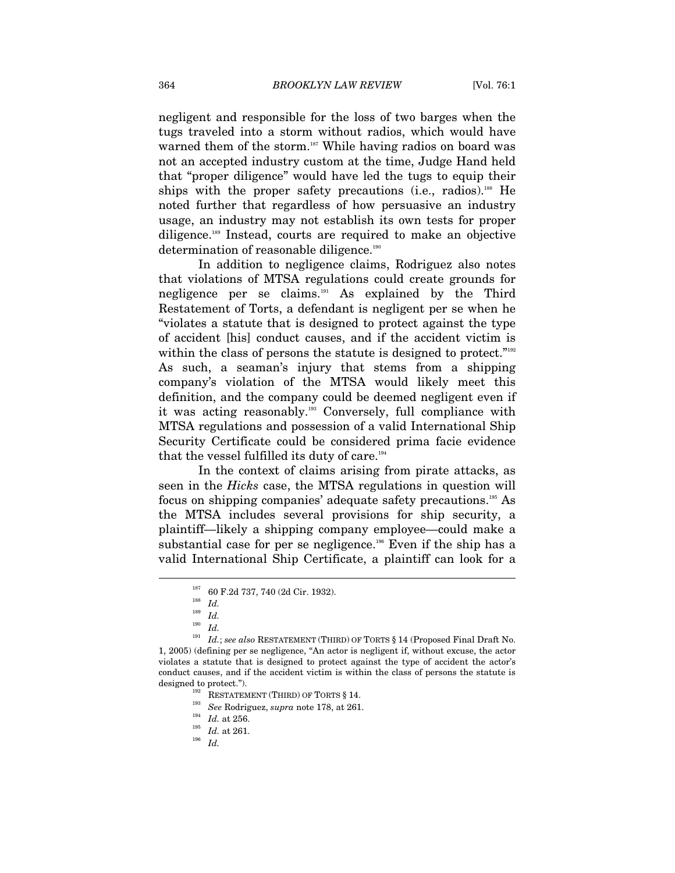negligent and responsible for the loss of two barges when the tugs traveled into a storm without radios, which would have warned them of the storm.<sup>187</sup> While having radios on board was not an accepted industry custom at the time, Judge Hand held that "proper diligence" would have led the tugs to equip their ships with the proper safety precautions (i.e., radios).<sup>188</sup> He noted further that regardless of how persuasive an industry usage, an industry may not establish its own tests for proper diligence.189 Instead, courts are required to make an objective determination of reasonable diligence.<sup>190</sup>

In addition to negligence claims, Rodriguez also notes that violations of MTSA regulations could create grounds for negligence per se claims.191 As explained by the Third Restatement of Torts, a defendant is negligent per se when he "violates a statute that is designed to protect against the type of accident [his] conduct causes, and if the accident victim is within the class of persons the statute is designed to protect."<sup>192</sup> As such, a seaman's injury that stems from a shipping company's violation of the MTSA would likely meet this definition, and the company could be deemed negligent even if it was acting reasonably.<sup>193</sup> Conversely, full compliance with MTSA regulations and possession of a valid International Ship Security Certificate could be considered prima facie evidence that the vessel fulfilled its duty of care.<sup>194</sup>

In the context of claims arising from pirate attacks, as seen in the *Hicks* case, the MTSA regulations in question will focus on shipping companies' adequate safety precautions.195 As the MTSA includes several provisions for ship security, a plaintiff—likely a shipping company employee—could make a substantial case for per se negligence.<sup>196</sup> Even if the ship has a valid International Ship Certificate, a plaintiff can look for a

<sup>187 60</sup> F.2d 737, 740 (2d Cir. 1932). 188 *Id.*

<sup>189</sup> *Id.*

<sup>190</sup> *Id.*

 $^{191}$   $\,$   $Id.$  ;  $see\ also$  RESTATEMENT (THIRD) OF TORTS § 14 (Proposed Final Draft No. 1, 2005) (defining per se negligence, "An actor is negligent if, without excuse, the actor violates a statute that is designed to protect against the type of accident the actor's conduct causes, and if the accident victim is within the class of persons the statute is designed to protect.").<br>
<sup>192</sup> RESTATEMENT (THIRD) OF TORTS § 14.<br>
<sup>193</sup> *See* Rodriguez, *supra* note 178, at 261.<br>
<sup>194</sup> *Id.* at 261.<br>
<sup>196</sup> *Id.* 1*d.*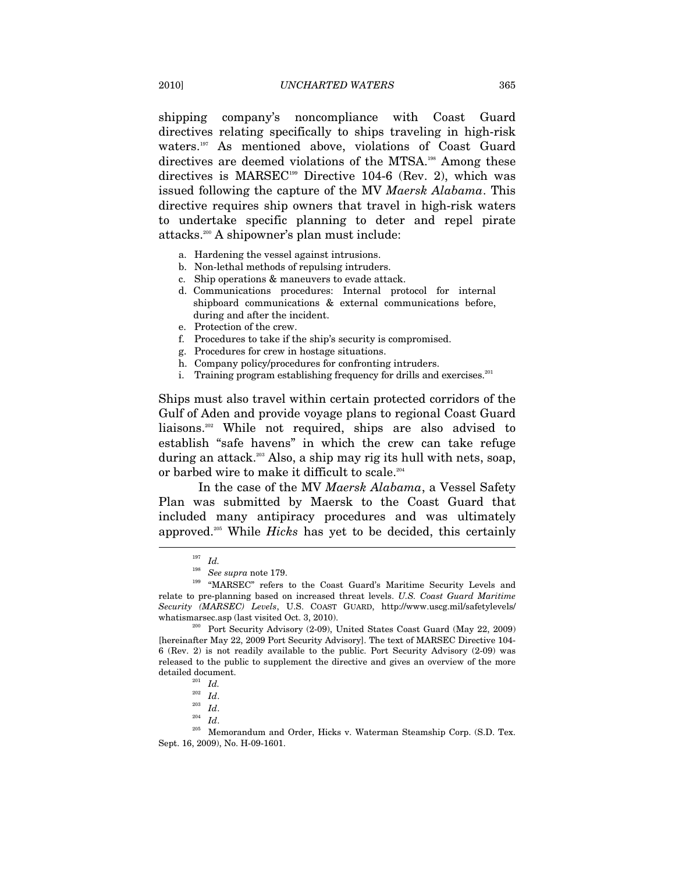shipping company's noncompliance with Coast Guard directives relating specifically to ships traveling in high-risk waters.<sup>197</sup> As mentioned above, violations of Coast Guard directives are deemed violations of the MTSA.<sup>198</sup> Among these directives is MARSEC<sup>199</sup> Directive 104-6 (Rev. 2), which was issued following the capture of the MV *Maersk Alabama*. This directive requires ship owners that travel in high-risk waters to undertake specific planning to deter and repel pirate attacks.200 A shipowner's plan must include:

- a. Hardening the vessel against intrusions.
- b. Non-lethal methods of repulsing intruders.
- c. Ship operations & maneuvers to evade attack.
- d. Communications procedures: Internal protocol for internal shipboard communications & external communications before, during and after the incident.
- e. Protection of the crew.
- f. Procedures to take if the ship's security is compromised.
- g. Procedures for crew in hostage situations.
- h. Company policy/procedures for confronting intruders.
- i. Training program establishing frequency for drills and exercises. $201$

Ships must also travel within certain protected corridors of the Gulf of Aden and provide voyage plans to regional Coast Guard liaisons.202 While not required, ships are also advised to establish "safe havens" in which the crew can take refuge during an attack.203 Also, a ship may rig its hull with nets, soap, or barbed wire to make it difficult to scale.<sup>204</sup>

In the case of the MV *Maersk Alabama*, a Vessel Safety Plan was submitted by Maersk to the Coast Guard that included many antipiracy procedures and was ultimately approved.205 While *Hicks* has yet to be decided, this certainly

<sup>&</sup>lt;sup>197</sup> *Id.*<br><sup>198</sup> *See supra* note 179.

<sup>&</sup>lt;sup>199</sup> "MARSEC" refers to the Coast Guard's Maritime Security Levels and relate to pre-planning based on increased threat levels. *U.S. Coast Guard Maritime Security (MARSEC) Levels*, U.S. COAST GUARD, http://www.uscg.mil/safetylevels/

<sup>&</sup>lt;sup>200</sup> Port Security Advisory (2-09), United States Coast Guard (May 22, 2009) [hereinafter May 22, 2009 Port Security Advisory]. The text of MARSEC Directive 104- 6 (Rev. 2) is not readily available to the public. Port Security Advisory (2-09) was released to the public to supplement the directive and gives an overview of the more  $\begin{array}{c} \text{detailed document.} \\\\ \frac{201}{202} \ \ \text{Id.} \\\\ \frac{1}{202} \ \ \text{Id.} \end{array}$ 

<sup>&</sup>lt;sup>203</sup> *Id.*<br><sup>204</sup> *Id. Id.* 205 Memorandum and Order, Hicks v. Waterman Steamship Corp. (S.D. Tex. Sept. 16, 2009), No. H-09-1601.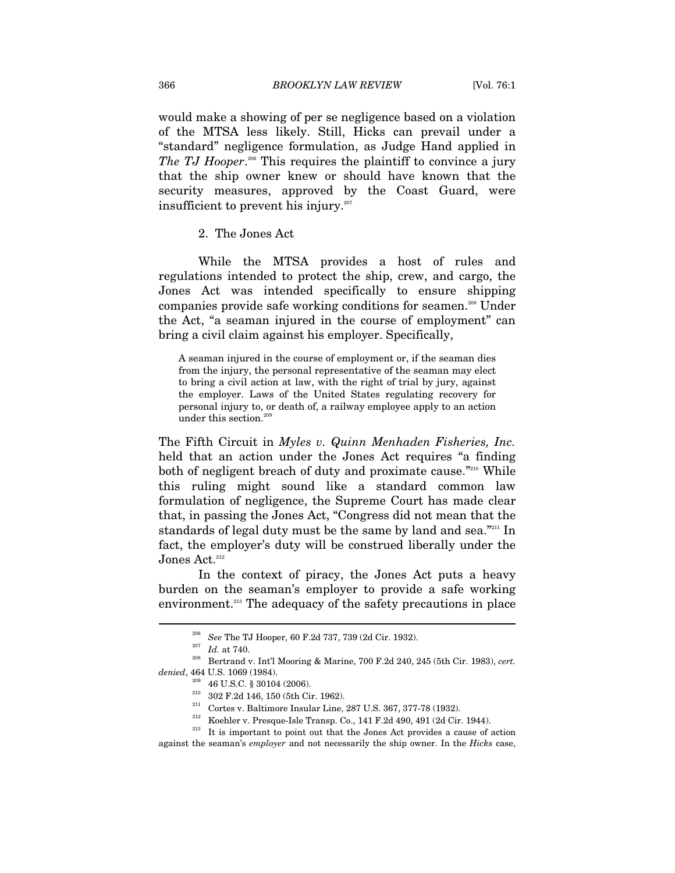would make a showing of per se negligence based on a violation of the MTSA less likely. Still, Hicks can prevail under a "standard" negligence formulation, as Judge Hand applied in The TJ Hooper.<sup>206</sup> This requires the plaintiff to convince a jury that the ship owner knew or should have known that the security measures, approved by the Coast Guard, were insufficient to prevent his injury.<sup>207</sup>

2. The Jones Act

While the MTSA provides a host of rules and regulations intended to protect the ship, crew, and cargo, the Jones Act was intended specifically to ensure shipping companies provide safe working conditions for seamen.208 Under the Act, "a seaman injured in the course of employment" can bring a civil claim against his employer. Specifically,

A seaman injured in the course of employment or, if the seaman dies from the injury, the personal representative of the seaman may elect to bring a civil action at law, with the right of trial by jury, against the employer. Laws of the United States regulating recovery for personal injury to, or death of, a railway employee apply to an action under this section.<sup>209</sup>

The Fifth Circuit in *Myles v. Quinn Menhaden Fisheries, Inc.*  held that an action under the Jones Act requires "a finding both of negligent breach of duty and proximate cause."<sup>210</sup> While this ruling might sound like a standard common law formulation of negligence, the Supreme Court has made clear that, in passing the Jones Act, "Congress did not mean that the standards of legal duty must be the same by land and sea."<sup>211</sup> In fact, the employer's duty will be construed liberally under the Jones Act.<sup>212</sup>

In the context of piracy, the Jones Act puts a heavy burden on the seaman's employer to provide a safe working environment.<sup>213</sup> The adequacy of the safety precautions in place

<sup>206</sup> *See* The TJ Hooper, 60 F.2d 737, 739 (2d Cir. 1932). 207 *Id.* at 740. 208 Bertrand v. Int'l Mooring & Marine, 700 F.2d 240, 245 (5th Cir. 1983), *cert.* 

denied, 464 U.S. 1069 (1984).<br>
<sup>209</sup> 46 U.S.C. § 30104 (2006).<br>
<sup>210</sup> 302 F.2d 146, 150 (5th Cir. 1962).<br>
<sup>211</sup> Cortes v. Baltimore Insular Line, 287 U.S. 367, 377-78 (1932).<br>
<sup>212</sup> Koehler v. Presque-Isle Transp. Co., 14 against the seaman's *employer* and not necessarily the ship owner. In the *Hicks* case,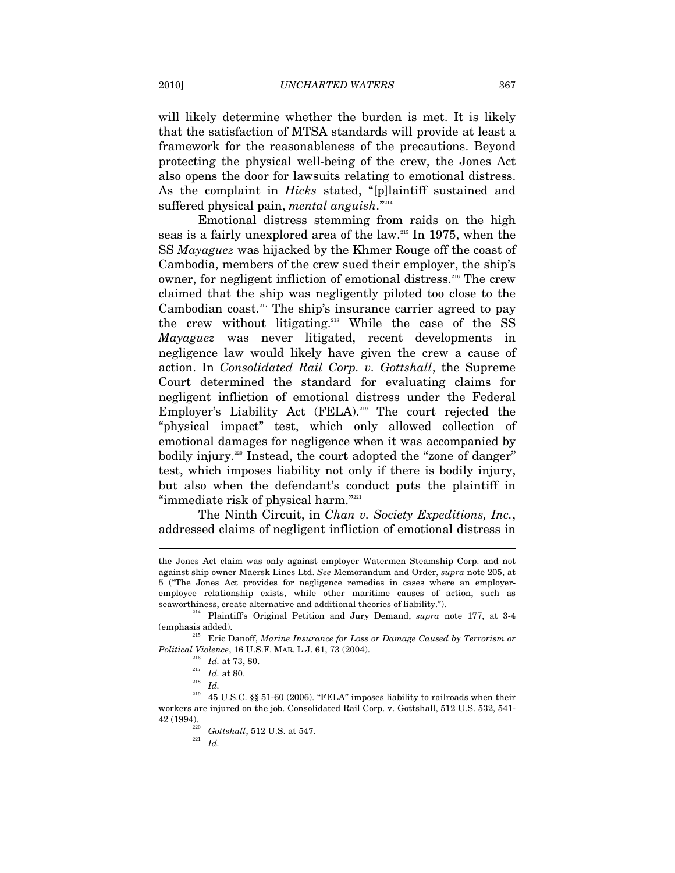will likely determine whether the burden is met. It is likely that the satisfaction of MTSA standards will provide at least a framework for the reasonableness of the precautions. Beyond protecting the physical well-being of the crew, the Jones Act also opens the door for lawsuits relating to emotional distress. As the complaint in *Hicks* stated, "[p]laintiff sustained and suffered physical pain, *mental anguish*."<sup>214</sup>

Emotional distress stemming from raids on the high seas is a fairly unexplored area of the law.215 In 1975, when the SS *Mayaguez* was hijacked by the Khmer Rouge off the coast of Cambodia, members of the crew sued their employer, the ship's owner, for negligent infliction of emotional distress.216 The crew claimed that the ship was negligently piloted too close to the Cambodian coast.<sup>217</sup> The ship's insurance carrier agreed to pay the crew without litigating.<sup>218</sup> While the case of the SS *Mayaguez* was never litigated, recent developments in negligence law would likely have given the crew a cause of action. In *Consolidated Rail Corp. v. Gottshall*, the Supreme Court determined the standard for evaluating claims for negligent infliction of emotional distress under the Federal Employer's Liability Act (FELA).<sup>219</sup> The court rejected the "physical impact" test, which only allowed collection of emotional damages for negligence when it was accompanied by bodily injury.<sup>220</sup> Instead, the court adopted the "zone of danger" test, which imposes liability not only if there is bodily injury, but also when the defendant's conduct puts the plaintiff in "immediate risk of physical harm."<sup>221</sup>

The Ninth Circuit, in *Chan v. Society Expeditions, Inc.*, addressed claims of negligent infliction of emotional distress in

the Jones Act claim was only against employer Watermen Steamship Corp. and not against ship owner Maersk Lines Ltd. *See* Memorandum and Order, *supra* note 205, at 5 ("The Jones Act provides for negligence remedies in cases where an employeremployee relationship exists, while other maritime causes of action, such as

seaworthiness, create alternative and additional theories of liability."). 214 Plaintiff's Original Petition and Jury Demand, *supra* note 177, at 3-4

<sup>(</sup>emphasis added). 215 Eric Danoff, *Marine Insurance for Loss or Damage Caused by Terrorism or* 

*Political Violence*, 16 U.S.F. MAR. L.J. 61, 73 (2004). <sup>216</sup> *Id.* at 73, 80.  $Id.$  at 80.  $Id.$  at 80.  $Id.$  45 U.S.C. §§ 51-60 (2006). "FELA" imposes liability to railroads when their workers are injured on the job. Consolidated Rail Corp. v. Gottshall, 512 U.S. 532, 541- 42 (1994). 220 *Gottshall*, 512 U.S. at 547. 221 *Id.*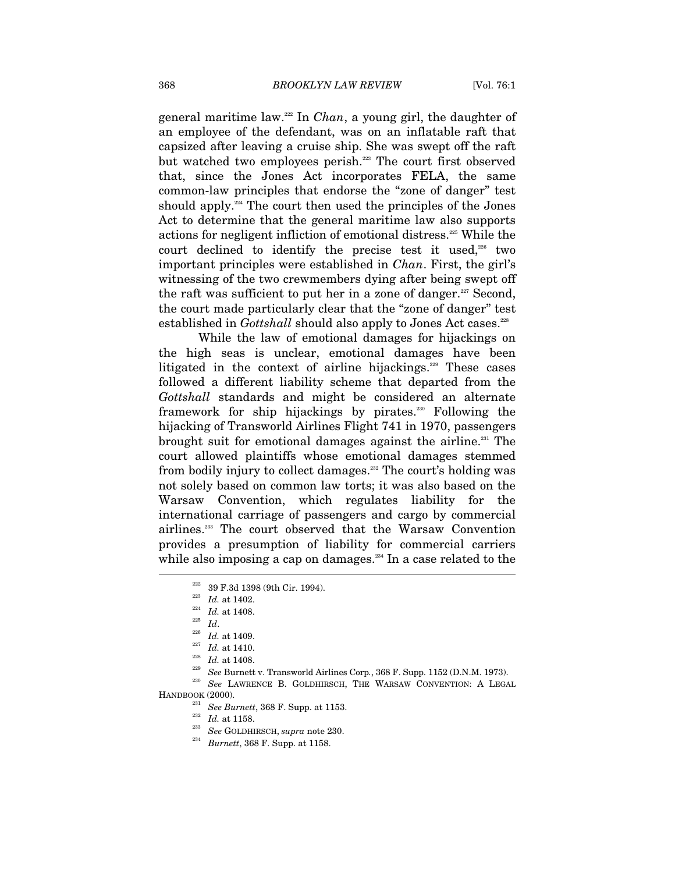general maritime law.222 In *Chan*, a young girl, the daughter of an employee of the defendant, was on an inflatable raft that capsized after leaving a cruise ship. She was swept off the raft but watched two employees perish.<sup>223</sup> The court first observed that, since the Jones Act incorporates FELA, the same common-law principles that endorse the "zone of danger" test should apply.<sup>224</sup> The court then used the principles of the Jones Act to determine that the general maritime law also supports actions for negligent infliction of emotional distress.225 While the court declined to identify the precise test it used, $226$  two important principles were established in *Chan*. First, the girl's witnessing of the two crewmembers dying after being swept off the raft was sufficient to put her in a zone of danger.<sup>227</sup> Second, the court made particularly clear that the "zone of danger" test established in *Gottshall* should also apply to Jones Act cases.<sup>228</sup>

While the law of emotional damages for hijackings on the high seas is unclear, emotional damages have been litigated in the context of airline hijackings.<sup>229</sup> These cases followed a different liability scheme that departed from the *Gottshall* standards and might be considered an alternate framework for ship hijackings by pirates.<sup>230</sup> Following the hijacking of Transworld Airlines Flight 741 in 1970, passengers brought suit for emotional damages against the airline.<sup>231</sup> The court allowed plaintiffs whose emotional damages stemmed from bodily injury to collect damages.<sup>332</sup> The court's holding was not solely based on common law torts; it was also based on the Warsaw Convention, which regulates liability for the international carriage of passengers and cargo by commercial airlines.233 The court observed that the Warsaw Convention provides a presumption of liability for commercial carriers while also imposing a cap on damages.<sup>234</sup> In a case related to the

- 
- <sup>222</sup> 39 F.3d 1398 (9th Cir. 1994).<br><sup>223</sup> *Id.* at 1402.<br><sup>224</sup> *Id.* at 1408.<br><sup>225</sup> *Id.* at 1410.<br><sup>226</sup> *Id.* at 1410.<br><sup>226</sup> *Id.* at 1410.<br>*Id.* at 1410.<br>*Id.* at 1408.<br>*See* Burnett v. Transworld Airlines Corp., 368 F.

- HANDBOOK (2000). 231 *See Burnett*, 368 F. Supp. at 1153. 232 *Id.* at 1158. 233 *See* GOLDHIRSCH, *supra* note 230. 234 *Burnett*, 368 F. Supp. at 1158.
	-
	-
	-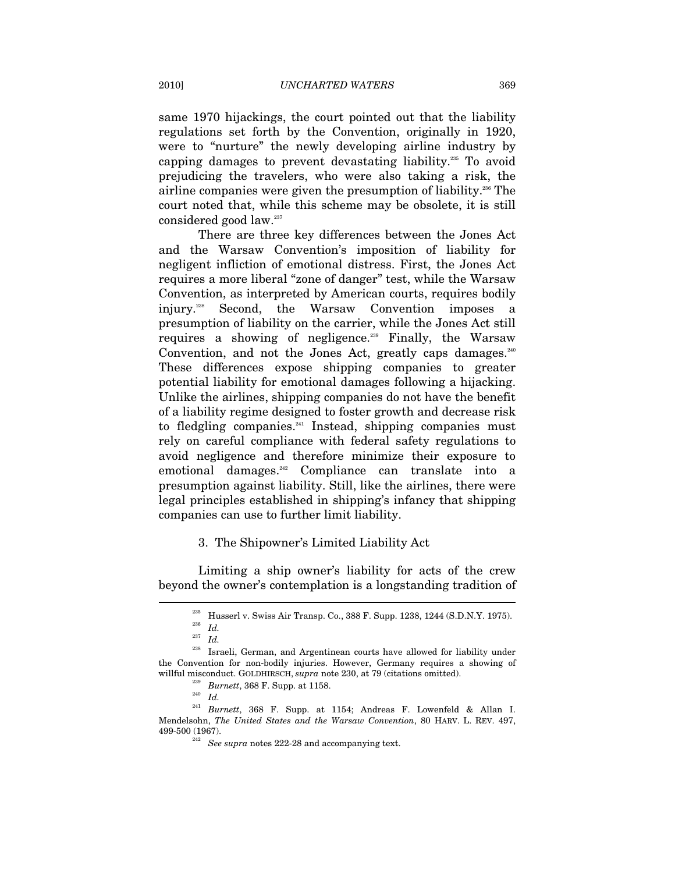same 1970 hijackings, the court pointed out that the liability regulations set forth by the Convention, originally in 1920, were to "nurture" the newly developing airline industry by capping damages to prevent devastating liability.235 To avoid prejudicing the travelers, who were also taking a risk, the airline companies were given the presumption of liability.236 The court noted that, while this scheme may be obsolete, it is still considered good law.<sup>237</sup>

There are three key differences between the Jones Act and the Warsaw Convention's imposition of liability for negligent infliction of emotional distress. First, the Jones Act requires a more liberal "zone of danger" test, while the Warsaw Convention, as interpreted by American courts, requires bodily injury.238 Second, the Warsaw Convention imposes a presumption of liability on the carrier, while the Jones Act still requires a showing of negligence.<sup>239</sup> Finally, the Warsaw Convention, and not the Jones Act, greatly caps damages. $240$ These differences expose shipping companies to greater potential liability for emotional damages following a hijacking. Unlike the airlines, shipping companies do not have the benefit of a liability regime designed to foster growth and decrease risk to fledgling companies. $241$  Instead, shipping companies must rely on careful compliance with federal safety regulations to avoid negligence and therefore minimize their exposure to emotional damages.<sup>242</sup> Compliance can translate into a presumption against liability. Still, like the airlines, there were legal principles established in shipping's infancy that shipping companies can use to further limit liability.

#### 3. The Shipowner's Limited Liability Act

Limiting a ship owner's liability for acts of the crew beyond the owner's contemplation is a longstanding tradition of  $\overline{a}$ 

<sup>&</sup>lt;sup>235</sup> Husserl v. Swiss Air Transp. Co., 388 F. Supp. 1238, 1244 (S.D.N.Y. 1975).<br><sup>236</sup> *Id* 

<sup>237</sup> *Id.*

<sup>238</sup> Israeli, German, and Argentinean courts have allowed for liability under the Convention for non-bodily injuries. However, Germany requires a showing of willful misconduct. GOLDHIRSCH, *supra* note 230, at 79 (citations omitted). 239 *Burnett*, 368 F. Supp. at 1158. 240 *Id.*<sup>241</sup> *Burnett*, 368 F. Supp. at 1154; Andreas F. Lowenfeld & Allan I.

Mendelsohn, *The United States and the Warsaw Convention*, 80 HARV. L. REV. 497, 499-500 (1967). 242 *See supra* notes 222-28 and accompanying text.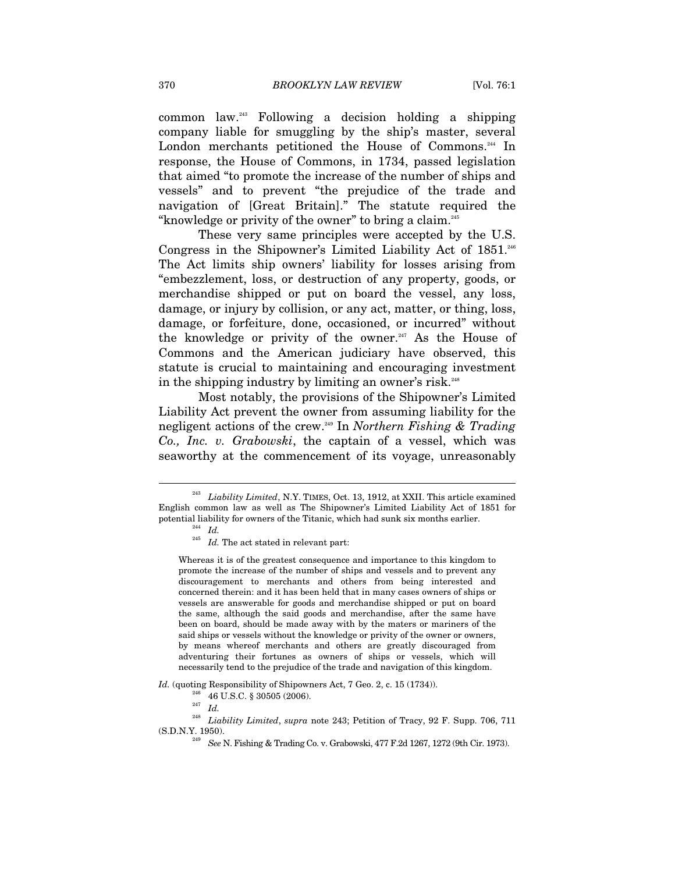common law.243 Following a decision holding a shipping company liable for smuggling by the ship's master, several London merchants petitioned the House of Commons.<sup>244</sup> In response, the House of Commons, in 1734, passed legislation that aimed "to promote the increase of the number of ships and vessels" and to prevent "the prejudice of the trade and navigation of [Great Britain]." The statute required the "knowledge or privity of the owner" to bring a claim.245

These very same principles were accepted by the U.S. Congress in the Shipowner's Limited Liability Act of 1851.<sup>246</sup> The Act limits ship owners' liability for losses arising from "embezzlement, loss, or destruction of any property, goods, or merchandise shipped or put on board the vessel, any loss, damage, or injury by collision, or any act, matter, or thing, loss, damage, or forfeiture, done, occasioned, or incurred" without the knowledge or privity of the owner.<sup>247</sup> As the House of Commons and the American judiciary have observed, this statute is crucial to maintaining and encouraging investment in the shipping industry by limiting an owner's risk.<sup>248</sup>

Most notably, the provisions of the Shipowner's Limited Liability Act prevent the owner from assuming liability for the negligent actions of the crew.249 In *Northern Fishing & Trading Co., Inc. v. Grabowski*, the captain of a vessel, which was seaworthy at the commencement of its voyage, unreasonably

 $\overline{a}$ 

*Id.* (quoting Responsibility of Shipowners Act, 7 Geo. 2, c. 15 (1734)).<br><sup>246</sup> 46 U.S.C. § 30505 (2006).<br><sup>247</sup> *Id* 

 $^{248}$  Liability Limited,  ${supra}$  note 243; Petition of Tracy, 92 F. Supp. 706, 711  $\rm (S.D.N.Y.$  1950).

Liability Limited, N.Y. TIMES, Oct. 13, 1912, at XXII. This article examined English common law as well as The Shipowner's Limited Liability Act of 1851 for potential liability for owners of the Titanic, which had sunk six months earlier.  $^{244}$   $\,$   $Id$ 

 $^{245}$   $\,$   $Id.$  The act stated in relevant part:

Whereas it is of the greatest consequence and importance to this kingdom to promote the increase of the number of ships and vessels and to prevent any discouragement to merchants and others from being interested and concerned therein: and it has been held that in many cases owners of ships or vessels are answerable for goods and merchandise shipped or put on board the same, although the said goods and merchandise, after the same have been on board, should be made away with by the maters or mariners of the said ships or vessels without the knowledge or privity of the owner or owners, by means whereof merchants and others are greatly discouraged from adventuring their fortunes as owners of ships or vessels, which will necessarily tend to the prejudice of the trade and navigation of this kingdom.

<sup>&</sup>lt;sup>249</sup> *See* N. Fishing & Trading Co. v. Grabowski, 477 F.2d 1267, 1272 (9th Cir. 1973).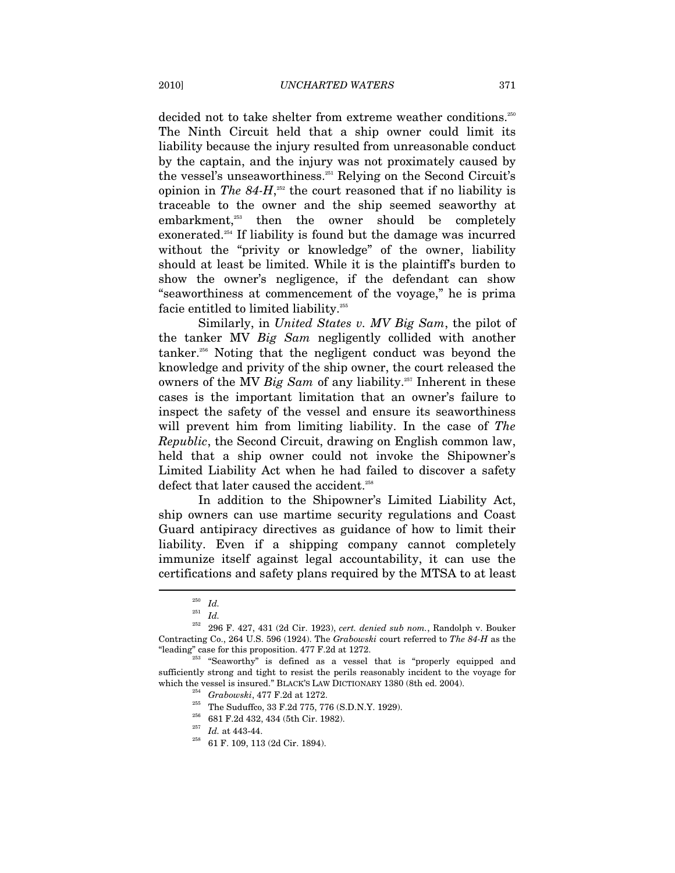decided not to take shelter from extreme weather conditions.<sup>250</sup> The Ninth Circuit held that a ship owner could limit its liability because the injury resulted from unreasonable conduct by the captain, and the injury was not proximately caused by the vessel's unseaworthiness.251 Relying on the Second Circuit's opinion in *The 84-H*, 252 the court reasoned that if no liability is traceable to the owner and the ship seemed seaworthy at embarkment,<sup>253</sup> then the owner should be completely exonerated.<sup>254</sup> If liability is found but the damage was incurred without the "privity or knowledge" of the owner, liability should at least be limited. While it is the plaintiff's burden to show the owner's negligence, if the defendant can show "seaworthiness at commencement of the voyage," he is prima facie entitled to limited liability. $^{255}$ 

Similarly, in *United States v. MV Big Sam*, the pilot of the tanker MV *Big Sam* negligently collided with another tanker.256 Noting that the negligent conduct was beyond the knowledge and privity of the ship owner, the court released the owners of the MV *Big Sam* of any liability.257 Inherent in these cases is the important limitation that an owner's failure to inspect the safety of the vessel and ensure its seaworthiness will prevent him from limiting liability. In the case of *The Republic*, the Second Circuit, drawing on English common law, held that a ship owner could not invoke the Shipowner's Limited Liability Act when he had failed to discover a safety defect that later caused the accident.<sup>258</sup>

In addition to the Shipowner's Limited Liability Act, ship owners can use martime security regulations and Coast Guard antipiracy directives as guidance of how to limit their liability. Even if a shipping company cannot completely immunize itself against legal accountability, it can use the certifications and safety plans required by the MTSA to at least

<sup>250</sup> *Id.*

<sup>251</sup> *Id.*

 $^{252}$  296 F. 427, 431 (2d Cir. 1923),  $cert.\,\,denied\,\,sub\,\,nom.,$  Randolph v. Bouker Contracting Co., 264 U.S. 596 (1924). The *Grabowski* court referred to *The 84-H* as the "leading" case for this proposition.  $477$  F.2d at 1272.<br><sup>253</sup> "Seaworthy" is defined as a vessel that is "properly equipped and

sufficiently strong and tight to resist the perils reasonably incident to the voyage for which the vessel is insured." BLACK'S LAW DICTIONARY 1380 (8th ed. 2004).<br>
<sup>254</sup> Grabowski, 477 F.2d at 1272.<br>
The Suduffco, 33 F.2d 775, 776 (S.D.N.Y. 1929).<br>
<sup>256</sup> 681 F.2d 432, 434 (5th Cir. 1982).<br>
<sup>257</sup> *Id.* at 443-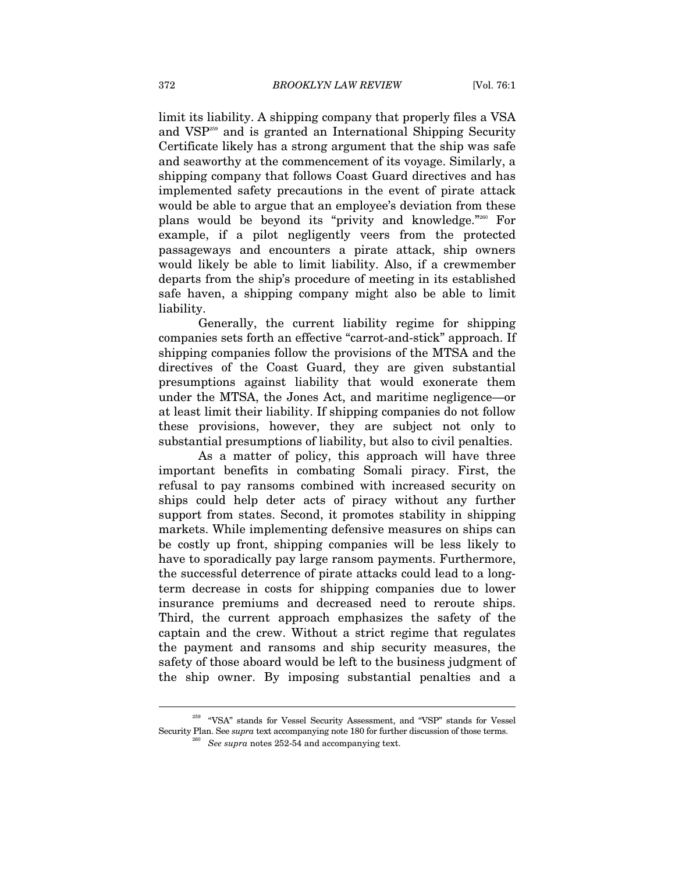limit its liability. A shipping company that properly files a VSA and VSP259 and is granted an International Shipping Security Certificate likely has a strong argument that the ship was safe and seaworthy at the commencement of its voyage. Similarly, a shipping company that follows Coast Guard directives and has implemented safety precautions in the event of pirate attack would be able to argue that an employee's deviation from these plans would be beyond its "privity and knowledge."260 For example, if a pilot negligently veers from the protected passageways and encounters a pirate attack, ship owners would likely be able to limit liability. Also, if a crewmember departs from the ship's procedure of meeting in its established safe haven, a shipping company might also be able to limit liability.

Generally, the current liability regime for shipping companies sets forth an effective "carrot-and-stick" approach. If shipping companies follow the provisions of the MTSA and the directives of the Coast Guard, they are given substantial presumptions against liability that would exonerate them under the MTSA, the Jones Act, and maritime negligence—or at least limit their liability. If shipping companies do not follow these provisions, however, they are subject not only to substantial presumptions of liability, but also to civil penalties.

As a matter of policy, this approach will have three important benefits in combating Somali piracy. First, the refusal to pay ransoms combined with increased security on ships could help deter acts of piracy without any further support from states. Second, it promotes stability in shipping markets. While implementing defensive measures on ships can be costly up front, shipping companies will be less likely to have to sporadically pay large ransom payments. Furthermore, the successful deterrence of pirate attacks could lead to a longterm decrease in costs for shipping companies due to lower insurance premiums and decreased need to reroute ships. Third, the current approach emphasizes the safety of the captain and the crew. Without a strict regime that regulates the payment and ransoms and ship security measures, the safety of those aboard would be left to the business judgment of the ship owner. By imposing substantial penalties and a

 $^{259}$  "VSA" stands for Vessel Security Assessment, and "VSP" stands for Vessel Security Plan. See *supra* text accompanying note 180 for further discussion of those terms. 260 *See supra* notes 252-54 and accompanying text.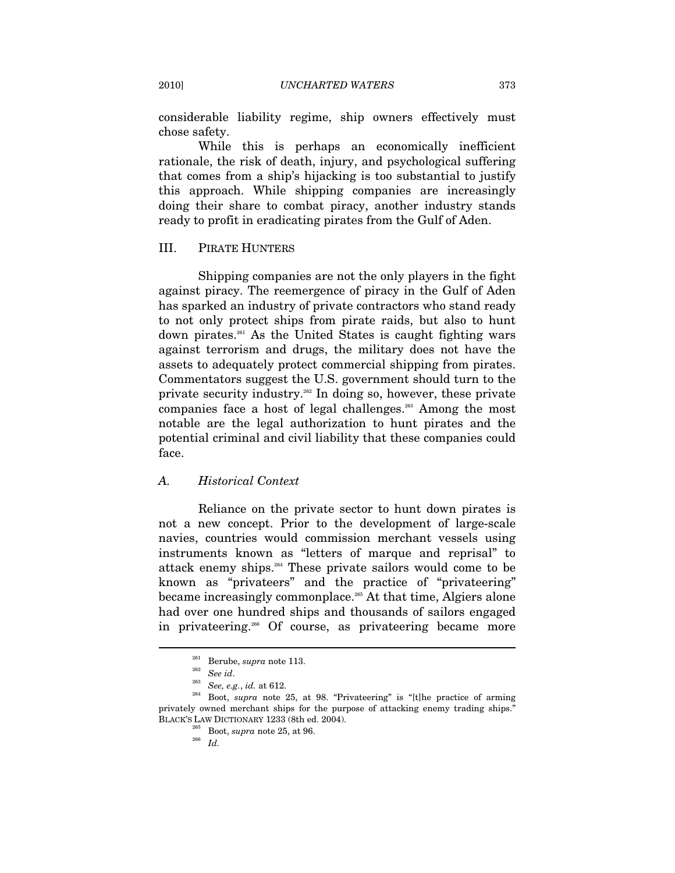considerable liability regime, ship owners effectively must chose safety.

While this is perhaps an economically inefficient rationale, the risk of death, injury, and psychological suffering that comes from a ship's hijacking is too substantial to justify this approach. While shipping companies are increasingly doing their share to combat piracy, another industry stands ready to profit in eradicating pirates from the Gulf of Aden.

#### III. PIRATE HUNTERS

Shipping companies are not the only players in the fight against piracy. The reemergence of piracy in the Gulf of Aden has sparked an industry of private contractors who stand ready to not only protect ships from pirate raids, but also to hunt down pirates.<sup>261</sup> As the United States is caught fighting wars against terrorism and drugs, the military does not have the assets to adequately protect commercial shipping from pirates. Commentators suggest the U.S. government should turn to the private security industry.262 In doing so, however, these private companies face a host of legal challenges.263 Among the most notable are the legal authorization to hunt pirates and the potential criminal and civil liability that these companies could face.

#### *A. Historical Context*

Reliance on the private sector to hunt down pirates is not a new concept. Prior to the development of large-scale navies, countries would commission merchant vessels using instruments known as "letters of marque and reprisal" to attack enemy ships.264 These private sailors would come to be known as "privateers" and the practice of "privateering" became increasingly commonplace.265 At that time, Algiers alone had over one hundred ships and thousands of sailors engaged in privateering.266 Of course, as privateering became more

<sup>261</sup> Berube, *supra* note 113. 262 *See id*. 263 *See, e.g.*, *id.* at 612. 264 Boot, *supra* note 25, at 98. "Privateering" is "[t]he practice of arming privately owned merchant ships for the purpose of attacking enemy trading ships.' BLACK'S LAW DICTIONARY 1233 (8th ed. 2004).<br><sup>265</sup> Boot, *supra* note 25, at 96.<br>*<sup>266</sup> Id.*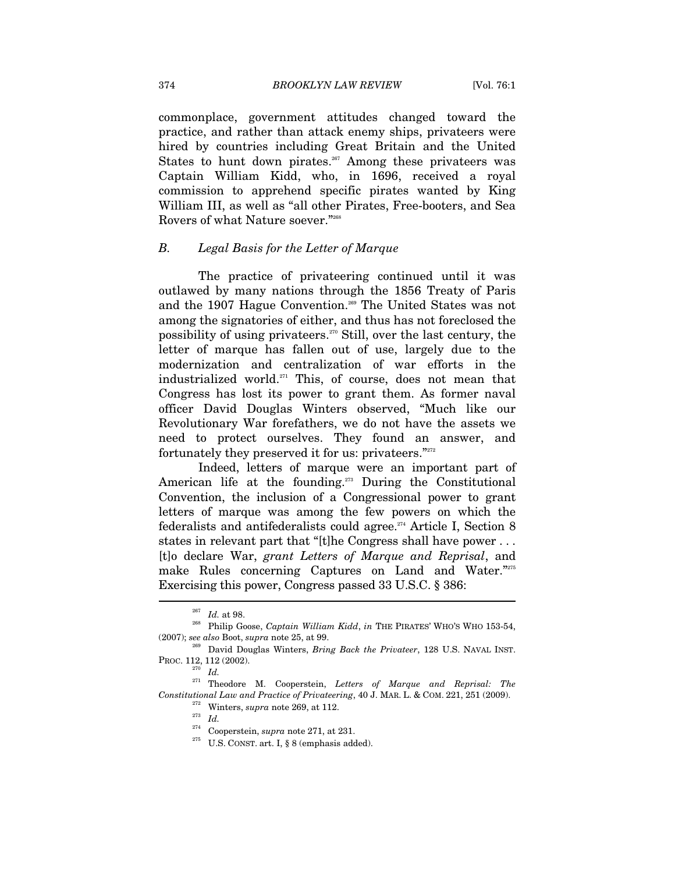commonplace, government attitudes changed toward the practice, and rather than attack enemy ships, privateers were hired by countries including Great Britain and the United States to hunt down pirates.<sup>267</sup> Among these privateers was Captain William Kidd, who, in 1696, received a royal commission to apprehend specific pirates wanted by King William III, as well as "all other Pirates, Free-booters, and Sea Rovers of what Nature soever."268

## *B. Legal Basis for the Letter of Marque*

The practice of privateering continued until it was outlawed by many nations through the 1856 Treaty of Paris and the 1907 Hague Convention.<sup>269</sup> The United States was not among the signatories of either, and thus has not foreclosed the possibility of using privateers.<sup>270</sup> Still, over the last century, the letter of marque has fallen out of use, largely due to the modernization and centralization of war efforts in the industrialized world.271 This, of course, does not mean that Congress has lost its power to grant them. As former naval officer David Douglas Winters observed, "Much like our Revolutionary War forefathers, we do not have the assets we need to protect ourselves. They found an answer, and fortunately they preserved it for us: privateers."<sup>272</sup>

Indeed, letters of marque were an important part of American life at the founding.<sup>273</sup> During the Constitutional Convention, the inclusion of a Congressional power to grant letters of marque was among the few powers on which the federalists and antifederalists could agree.<sup> $274$ </sup> Article I, Section 8 states in relevant part that "[t]he Congress shall have power . . . [t]o declare War, *grant Letters of Marque and Reprisal*, and make Rules concerning Captures on Land and Water."275 Exercising this power, Congress passed 33 U.S.C. § 386:

 $^{267}$   $\,$   $Id.$  at 98.  $^{268}$  Philip Goose,  $Captain$  William Kidd,  $in$  THE PIRATES' WHO'S WHO 153-54, (2007); *see also* Boot, *supra* note 25, at 99. 269 David Douglas Winters, *Bring Back the Privateer*, 128 U.S. NAVAL INST.

PROC. 112, 112 (2002). 270 *Id.* 

<sup>271</sup> Theodore M. Cooperstein, *Letters of Marque and Reprisal: The Constitutional Law and Practice of Privateering*, 40 J. MAR. L. & COM. 221, 251 (2009).<br><sup>272</sup> Winters, *supra* note 269, at 112.<br><sup>274</sup> Cooperstein, *supra* note 271, at 231.

 $^{275}$  U.S. CONST. art. I, § 8 (emphasis added).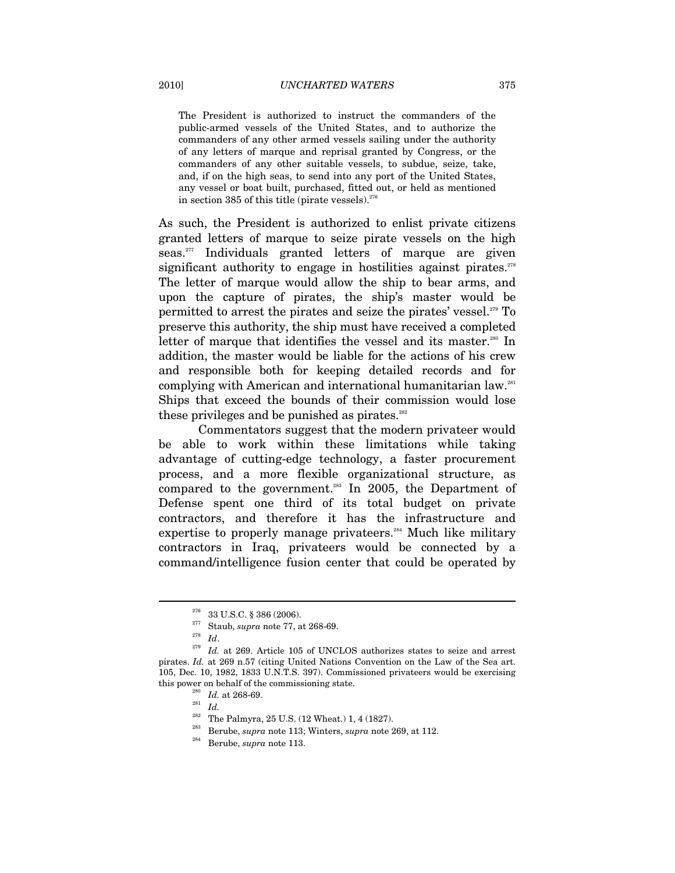The President is authorized to instruct the commanders of the public-armed vessels of the United States, and to authorize the commanders of any other armed vessels sailing under the authority of any letters of marque and reprisal granted by Congress, or the commanders of any other suitable vessels, to subdue, seize, take, and, if on the high seas, to send into any port of the United States, any vessel or boat built, purchased, fitted out, or held as mentioned in section 385 of this title (pirate vessels). $276$ 

As such, the President is authorized to enlist private citizens granted letters of marque to seize pirate vessels on the high seas.<sup>277</sup> Individuals granted letters of marque are given significant authority to engage in hostilities against pirates. $278$ The letter of marque would allow the ship to bear arms, and upon the capture of pirates, the ship's master would be permitted to arrest the pirates and seize the pirates' vessel.279 To preserve this authority, the ship must have received a completed letter of marque that identifies the vessel and its master.<sup>280</sup> In addition, the master would be liable for the actions of his crew and responsible both for keeping detailed records and for complying with American and international humanitarian law.281 Ships that exceed the bounds of their commission would lose these privileges and be punished as pirates. $282$ 

Commentators suggest that the modern privateer would be able to work within these limitations while taking advantage of cutting-edge technology, a faster procurement process, and a more flexible organizational structure, as compared to the government.<sup>283</sup> In 2005, the Department of Defense spent one third of its total budget on private contractors, and therefore it has the infrastructure and expertise to properly manage privateers.<sup>284</sup> Much like military contractors in Iraq, privateers would be connected by a command/intelligence fusion center that could be operated by

<sup>276 33</sup> U.S.C. § 386 (2006). 277 Staub, *supra* note 77, at 268-69. 278 *Id*. 279 *Id.* at 269. Article 105 of UNCLOS authorizes states to seize and arrest pirates. *Id.* at 269 n.57 (citing United Nations Convention on the Law of the Sea art. 105, Dec. 10, 1982, 1833 U.N.T.S. 397). Commissioned privateers would be exercising this power on behalf of the commissioning state.<br>
<sup>280</sup> *Id.* at 268-69.<br>
<sup>281</sup> *Id.*<br>
<sup>282</sup> The Palmyra, 25 U.S. (12 Wheat.) 1, 4 (1827).<br>
<sup>283</sup> Berube, *supra* note 113; Winters, *supra* note 269, at 112.<br>
<sup>284</sup> Berube,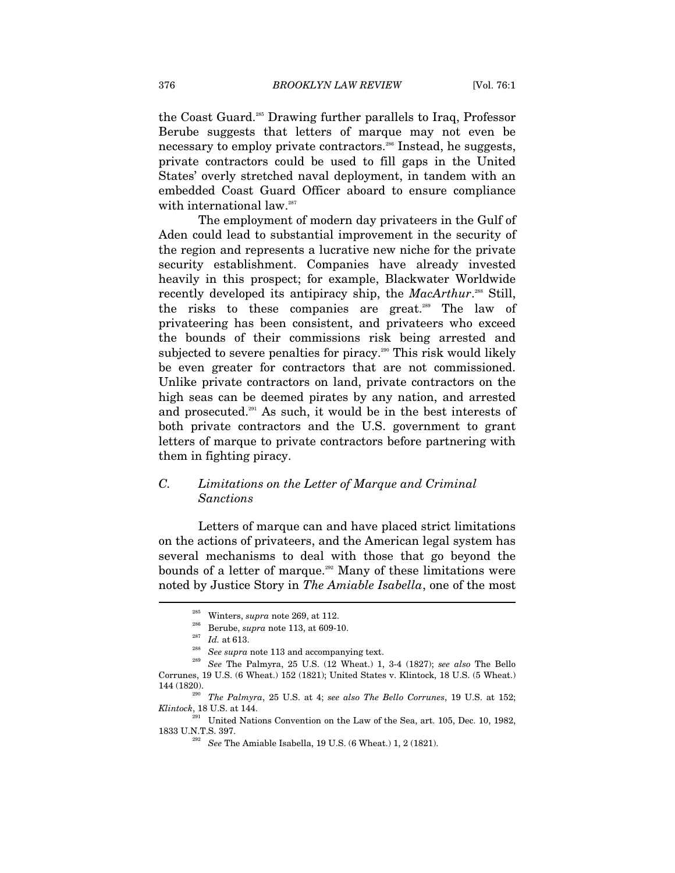the Coast Guard.285 Drawing further parallels to Iraq, Professor Berube suggests that letters of marque may not even be necessary to employ private contractors.<sup>286</sup> Instead, he suggests, private contractors could be used to fill gaps in the United States' overly stretched naval deployment, in tandem with an embedded Coast Guard Officer aboard to ensure compliance with international law.<sup>287</sup>

The employment of modern day privateers in the Gulf of Aden could lead to substantial improvement in the security of the region and represents a lucrative new niche for the private security establishment. Companies have already invested heavily in this prospect; for example, Blackwater Worldwide recently developed its antipiracy ship, the *MacArthur*.<sup>288</sup> Still, the risks to these companies are great.<sup>289</sup> The law of privateering has been consistent, and privateers who exceed the bounds of their commissions risk being arrested and subjected to severe penalties for piracy.<sup>290</sup> This risk would likely be even greater for contractors that are not commissioned. Unlike private contractors on land, private contractors on the high seas can be deemed pirates by any nation, and arrested and prosecuted.<sup>291</sup> As such, it would be in the best interests of both private contractors and the U.S. government to grant letters of marque to private contractors before partnering with them in fighting piracy.

# *C. Limitations on the Letter of Marque and Criminal Sanctions*

Letters of marque can and have placed strict limitations on the actions of privateers, and the American legal system has several mechanisms to deal with those that go beyond the bounds of a letter of marque.<sup>292</sup> Many of these limitations were noted by Justice Story in *The Amiable Isabella*, one of the most

<sup>&</sup>lt;sup>285</sup> Winters, *supra* note 269, at 112.<br><sup>286</sup> Berube, *supra* note 113, at 609-10.<br><sup>287</sup> Id. at 613.<br><sup>288</sup> See *supra* note 113 and accompanying text.<br><sup>288</sup> See The Palmyra, 25 U.S. (12 Wheat.) 1, 3-4 (1827); *see also* Corrunes, 19 U.S. (6 Wheat.) 152 (1821); United States v. Klintock, 18 U.S. (5 Wheat.) 144 (1820). 290 *The Palmyra*, 25 U.S. at 4; *see also The Bello Corrunes*, 19 U.S. at 152;

*Klintock*, 18 U.S. at 144.

 $^{291}$  United Nations Convention on the Law of the Sea, art. 105, Dec. 10, 1982, 1833 U.N.T.S. 397. 292 *See* The Amiable Isabella, 19 U.S. (6 Wheat.) 1, 2 (1821).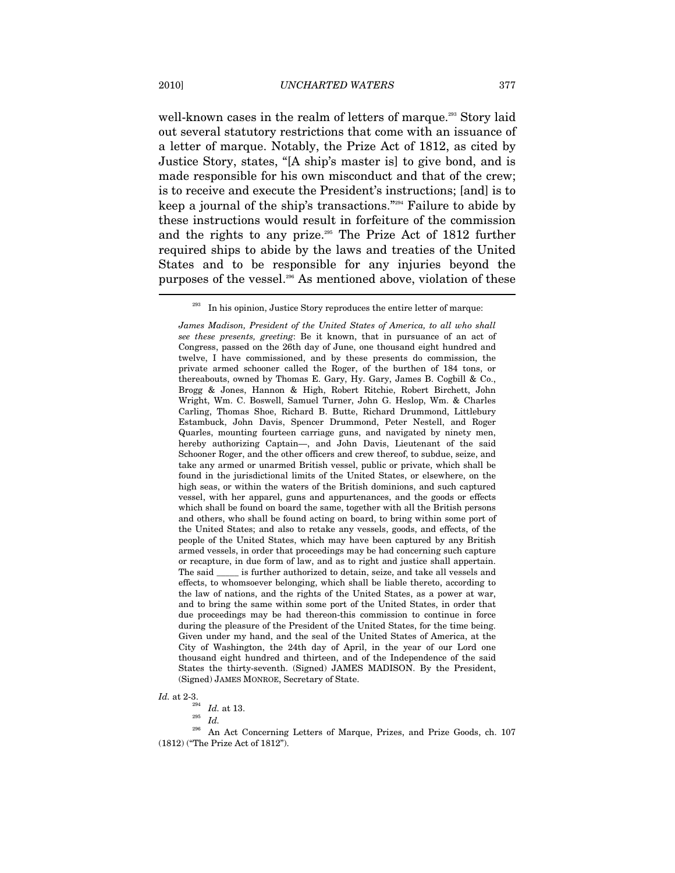well-known cases in the realm of letters of marque.<sup>293</sup> Story laid out several statutory restrictions that come with an issuance of a letter of marque. Notably, the Prize Act of 1812, as cited by Justice Story, states, "[A ship's master is] to give bond, and is made responsible for his own misconduct and that of the crew; is to receive and execute the President's instructions; [and] is to keep a journal of the ship's transactions."294 Failure to abide by these instructions would result in forfeiture of the commission and the rights to any prize.295 The Prize Act of 1812 further required ships to abide by the laws and treaties of the United States and to be responsible for any injuries beyond the purposes of the vessel.<sup>296</sup> As mentioned above, violation of these

*James Madison, President of the United States of America, to all who shall see these presents, greeting*: Be it known, that in pursuance of an act of Congress, passed on the 26th day of June, one thousand eight hundred and twelve, I have commissioned, and by these presents do commission, the private armed schooner called the Roger, of the burthen of 184 tons, or thereabouts, owned by Thomas E. Gary, Hy. Gary, James B. Cogbill & Co., Brogg & Jones, Hannon & High, Robert Ritchie, Robert Birchett, John Wright, Wm. C. Boswell, Samuel Turner, John G. Heslop, Wm. & Charles Carling, Thomas Shoe, Richard B. Butte, Richard Drummond, Littlebury Estambuck, John Davis, Spencer Drummond, Peter Nestell, and Roger Quarles, mounting fourteen carriage guns, and navigated by ninety men, hereby authorizing Captain—, and John Davis, Lieutenant of the said Schooner Roger, and the other officers and crew thereof, to subdue, seize, and take any armed or unarmed British vessel, public or private, which shall be found in the jurisdictional limits of the United States, or elsewhere, on the high seas, or within the waters of the British dominions, and such captured vessel, with her apparel, guns and appurtenances, and the goods or effects which shall be found on board the same, together with all the British persons and others, who shall be found acting on board, to bring within some port of the United States; and also to retake any vessels, goods, and effects, of the people of the United States, which may have been captured by any British armed vessels, in order that proceedings may be had concerning such capture or recapture, in due form of law, and as to right and justice shall appertain. The said \_\_\_\_\_ is further authorized to detain, seize, and take all vessels and effects, to whomsoever belonging, which shall be liable thereto, according to the law of nations, and the rights of the United States, as a power at war, and to bring the same within some port of the United States, in order that due proceedings may be had thereon-this commission to continue in force during the pleasure of the President of the United States, for the time being. Given under my hand, and the seal of the United States of America, at the City of Washington, the 24th day of April, in the year of our Lord one thousand eight hundred and thirteen, and of the Independence of the said States the thirty-seventh. (Signed) JAMES MADISON. By the President, (Signed) JAMES MONROE, Secretary of State.

 $\begin{array}{ccc} \hbox{Id. at 2-3.}\\ & \xrightarrow{294} & \hbox{Id. at 13.}\\ & \xrightarrow{295} & \hbox{Id.} \end{array}$ 

296 An Act Concerning Letters of Marque, Prizes, and Prize Goods, ch. 107 (1812) ("The Prize Act of 1812").

 $293$  In his opinion, Justice Story reproduces the entire letter of marque: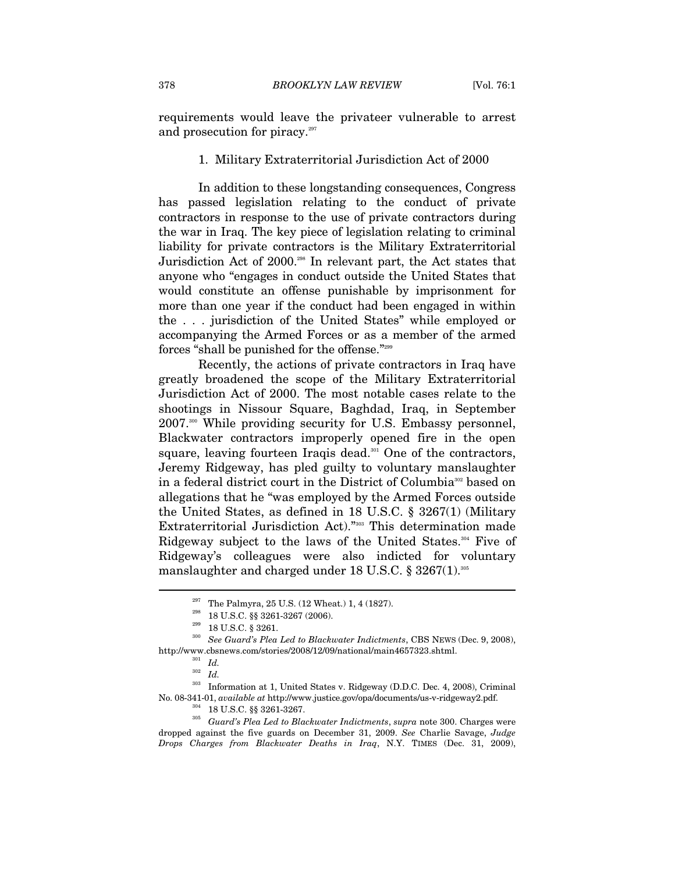requirements would leave the privateer vulnerable to arrest and prosecution for piracy.<sup>297</sup>

#### 1. Military Extraterritorial Jurisdiction Act of 2000

In addition to these longstanding consequences, Congress has passed legislation relating to the conduct of private contractors in response to the use of private contractors during the war in Iraq. The key piece of legislation relating to criminal liability for private contractors is the Military Extraterritorial Jurisdiction Act of 2000.298 In relevant part, the Act states that anyone who "engages in conduct outside the United States that would constitute an offense punishable by imprisonment for more than one year if the conduct had been engaged in within the . . . jurisdiction of the United States" while employed or accompanying the Armed Forces or as a member of the armed forces "shall be punished for the offense."<sup>299</sup>

Recently, the actions of private contractors in Iraq have greatly broadened the scope of the Military Extraterritorial Jurisdiction Act of 2000. The most notable cases relate to the shootings in Nissour Square, Baghdad, Iraq, in September 2007.300 While providing security for U.S. Embassy personnel, Blackwater contractors improperly opened fire in the open square, leaving fourteen Iraqis dead.<sup>301</sup> One of the contractors, Jeremy Ridgeway, has pled guilty to voluntary manslaughter in a federal district court in the District of Columbia<sup>302</sup> based on allegations that he "was employed by the Armed Forces outside the United States, as defined in 18 U.S.C. § 3267(1) (Military Extraterritorial Jurisdiction Act)."303 This determination made Ridgeway subject to the laws of the United States.<sup>304</sup> Five of Ridgeway's colleagues were also indicted for voluntary manslaughter and charged under 18 U.S.C. § 3267(1).305

 $\overline{a}$ 

 $^\mathrm{303}$  Information at 1, United States v. Ridgeway (D.D.C. Dec. 4, 2008), Criminal No. 08-341-01, *available at* http://www.justice.gov/opa/documents/us-v-ridgeway2.pdf. 304 18 U.S.C. §§ 3261-3267. 305 *Guard's Plea Led to Blackwater Indictments*, *supra* note 300. Charges were

dropped against the five guards on December 31, 2009. *See* Charlie Savage, *Judge Drops Charges from Blackwater Deaths in Iraq*, N.Y. TIMES (Dec. 31, 2009),

<sup>&</sup>lt;sup>297</sup> The Palmyra, 25 U.S. (12 Wheat.) 1, 4 (1827).<br><sup>299</sup> 18 U.S.C. §§ 3261-3267 (2006).<br><sup>299</sup> 18 U.S.C. § 3261.<br><sup>300</sup> *See Guard's Plea Led to Blackwater Indictments*, CBS NEWS (Dec. 9, 2008), http://www.cbsnews.com/stories/2008/12/09/national/main4657323.shtml. 301 *Id.*

<sup>302</sup> *Id.*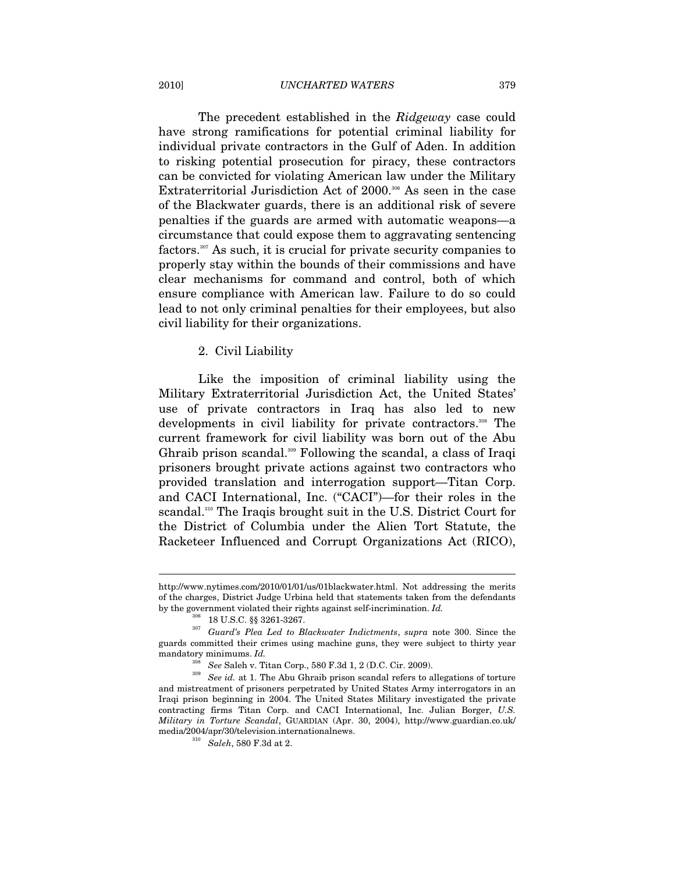#### 2010] *UNCHARTED WATERS* 379

The precedent established in the *Ridgeway* case could have strong ramifications for potential criminal liability for individual private contractors in the Gulf of Aden. In addition to risking potential prosecution for piracy, these contractors can be convicted for violating American law under the Military Extraterritorial Jurisdiction Act of 2000.<sup>306</sup> As seen in the case of the Blackwater guards, there is an additional risk of severe penalties if the guards are armed with automatic weapons—a circumstance that could expose them to aggravating sentencing factors.<sup>307</sup> As such, it is crucial for private security companies to properly stay within the bounds of their commissions and have clear mechanisms for command and control, both of which ensure compliance with American law. Failure to do so could lead to not only criminal penalties for their employees, but also civil liability for their organizations.

#### 2. Civil Liability

Like the imposition of criminal liability using the Military Extraterritorial Jurisdiction Act, the United States' use of private contractors in Iraq has also led to new developments in civil liability for private contractors.<sup>308</sup> The current framework for civil liability was born out of the Abu Ghraib prison scandal.<sup>309</sup> Following the scandal, a class of Iraqi prisoners brought private actions against two contractors who provided translation and interrogation support—Titan Corp. and CACI International, Inc. ("CACI")—for their roles in the scandal.310 The Iraqis brought suit in the U.S. District Court for the District of Columbia under the Alien Tort Statute, the Racketeer Influenced and Corrupt Organizations Act (RICO),

http://www.nytimes.com/2010/01/01/us/01blackwater.html. Not addressing the merits of the charges, District Judge Urbina held that statements taken from the defendants by the government violated their rights against self-incrimination.  $Id.$   $^{306}$   $\,$  18 U.S.C. §§ 3261-3267.

<sup>&</sup>lt;sup>307</sup> Guard's Plea Led to Blackwater Indictments, *supra* note 300. Since the guards committed their crimes using machine guns, they were subject to thirty year mandatory minimums. *Id.*

<sup>308</sup> *See* Saleh v. Titan Corp., 580 F.3d 1, 2 (D.C. Cir. 2009). 309 *See id.* at 1. The Abu Ghraib prison scandal refers to allegations of torture and mistreatment of prisoners perpetrated by United States Army interrogators in an Iraqi prison beginning in 2004. The United States Military investigated the private contracting firms Titan Corp. and CACI International, Inc. Julian Borger, *U.S. Military in Torture Scandal*, GUARDIAN (Apr. 30, 2004), http://www.guardian.co.uk/ media/2004/apr/30/television.internationalnews. 310 *Saleh*, 580 F.3d at 2.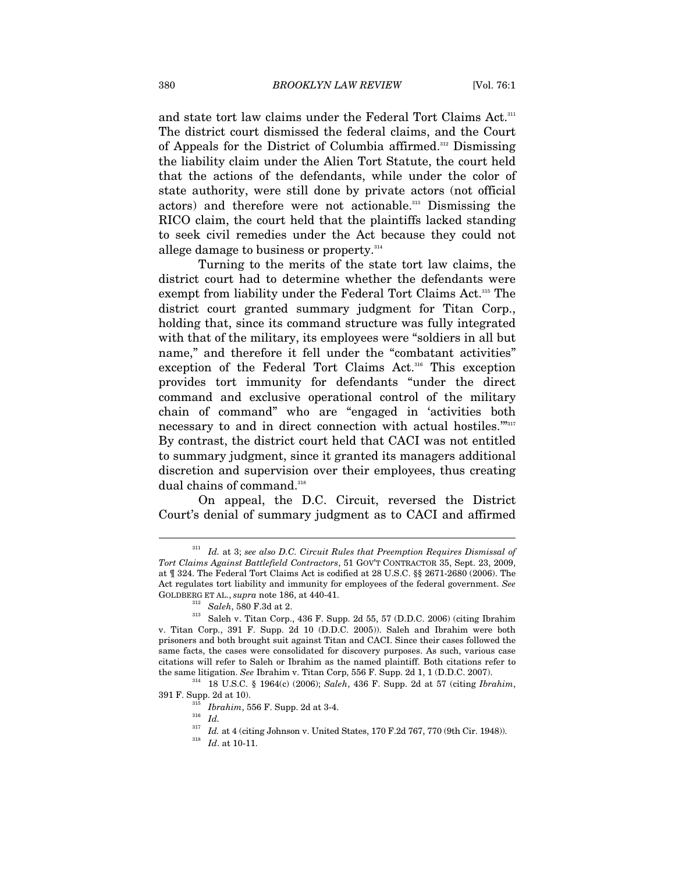and state tort law claims under the Federal Tort Claims Act.<sup>311</sup> The district court dismissed the federal claims, and the Court of Appeals for the District of Columbia affirmed.<sup>312</sup> Dismissing the liability claim under the Alien Tort Statute, the court held that the actions of the defendants, while under the color of state authority, were still done by private actors (not official actors) and therefore were not actionable.<sup>313</sup> Dismissing the RICO claim, the court held that the plaintiffs lacked standing to seek civil remedies under the Act because they could not allege damage to business or property.<sup>314</sup>

Turning to the merits of the state tort law claims, the district court had to determine whether the defendants were exempt from liability under the Federal Tort Claims Act.<sup>315</sup> The district court granted summary judgment for Titan Corp., holding that, since its command structure was fully integrated with that of the military, its employees were "soldiers in all but name," and therefore it fell under the "combatant activities" exception of the Federal Tort Claims Act.<sup>316</sup> This exception provides tort immunity for defendants "under the direct command and exclusive operational control of the military chain of command" who are "engaged in 'activities both necessary to and in direct connection with actual hostiles.""317 By contrast, the district court held that CACI was not entitled to summary judgment, since it granted its managers additional discretion and supervision over their employees, thus creating dual chains of command.<sup>318</sup>

On appeal, the D.C. Circuit, reversed the District Court's denial of summary judgment as to CACI and affirmed

<sup>311</sup> *Id.* at 3; *see also D.C. Circuit Rules that Preemption Requires Dismissal of Tort Claims Against Battlefield Contractors*, 51 GOV'T CONTRACTOR 35, Sept. 23, 2009, at ¶ 324. The Federal Tort Claims Act is codified at 28 U.S.C. §§ 2671-2680 (2006). The Act regulates tort liability and immunity for employees of the federal government. *See*

GOLDBERG ET AL.,  $supra$  note 186, at 440-41.  $$^{312}\hskip-2.5pt \hbox{.}$  Saleh, 580 F.3d at 2.  $$^{313}\hskip-2.5pt \hbox{.}$  Saleh v. Titan Corp., 436 F. Supp. 2d 55, 57 (D.D.C. 2006) (citing Ibrahim v. Titan Corp., 391 F. Supp. 2d 10 (D.D.C. 2005)). Saleh and Ibrahim were both prisoners and both brought suit against Titan and CACI. Since their cases followed the same facts, the cases were consolidated for discovery purposes. As such, various case citations will refer to Saleh or Ibrahim as the named plaintiff. Both citations refer to the same litigation. *See* Ibrahim v. Titan Corp, 556 F. Supp. 2d 1, 1 (D.D.C. 2007). 314 18 U.S.C. § 1964(c) (2006); *Saleh*, 436 F. Supp. 2d at 57 (citing *Ibrahim*,

<sup>391</sup> F. Supp. 2d at 10).  $\frac{315}{16}$  *Ibrahim*, 556 F. Supp. 2d at 3-4.  $Id$ .

 $^{317}$   $Id.$  at 4 (citing Johnson v. United States, 170 F.2d 767, 770 (9th Cir. 1948)).  $Id.$  at 10-11.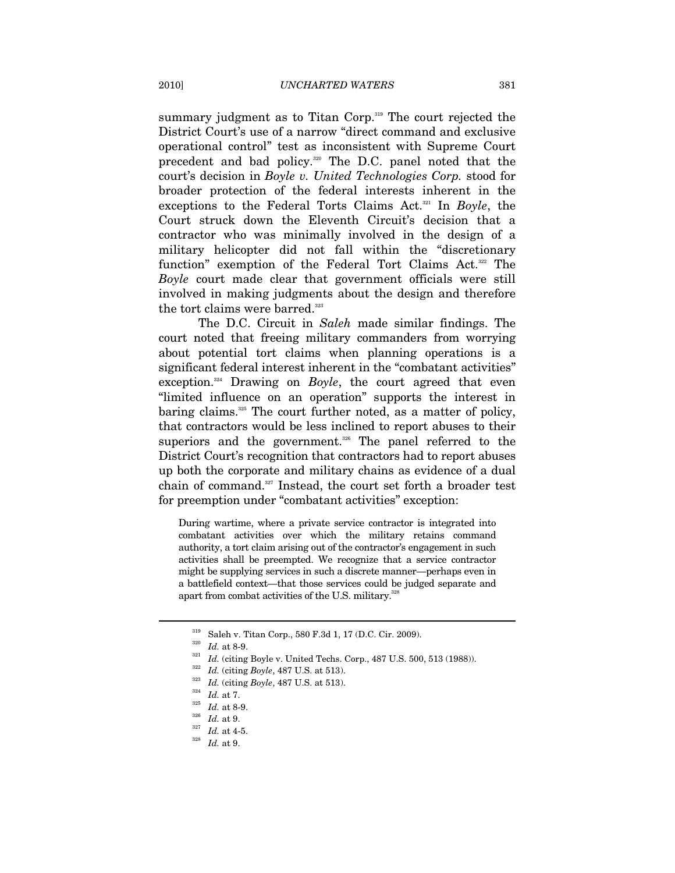summary judgment as to Titan Corp.<sup>319</sup> The court rejected the District Court's use of a narrow "direct command and exclusive operational control" test as inconsistent with Supreme Court precedent and bad policy.<sup>320</sup> The D.C. panel noted that the court's decision in *Boyle v. United Technologies Corp.* stood for broader protection of the federal interests inherent in the exceptions to the Federal Torts Claims Act.321 In *Boyle*, the Court struck down the Eleventh Circuit's decision that a contractor who was minimally involved in the design of a military helicopter did not fall within the "discretionary function" exemption of the Federal Tort Claims Act.<sup>322</sup> The *Boyle* court made clear that government officials were still involved in making judgments about the design and therefore the tort claims were barred.<sup>323</sup>

The D.C. Circuit in *Saleh* made similar findings. The court noted that freeing military commanders from worrying about potential tort claims when planning operations is a significant federal interest inherent in the "combatant activities" exception.<sup>324</sup> Drawing on *Boyle*, the court agreed that even "limited influence on an operation" supports the interest in baring claims.<sup>325</sup> The court further noted, as a matter of policy, that contractors would be less inclined to report abuses to their superiors and the government.<sup>326</sup> The panel referred to the District Court's recognition that contractors had to report abuses up both the corporate and military chains as evidence of a dual chain of command.327 Instead, the court set forth a broader test for preemption under "combatant activities" exception:

During wartime, where a private service contractor is integrated into combatant activities over which the military retains command authority, a tort claim arising out of the contractor's engagement in such activities shall be preempted. We recognize that a service contractor might be supplying services in such a discrete manner—perhaps even in a battlefield context—that those services could be judged separate and apart from combat activities of the U.S. military.<sup>328</sup>

<sup>&</sup>lt;sup>319</sup> Saleh v. Titan Corp., 580 F.3d 1, 17 (D.C. Cir. 2009).<br><sup>320</sup> Id. at 8-9.<br><sup>321</sup> Id. (citing Boyle v. United Techs. Corp., 487 U.S. 500, 513 (1988)).<br><sup>322</sup> Id. (citing Boyle, 487 U.S. at 513).<br><sup>323</sup> Id. (citing Boyle,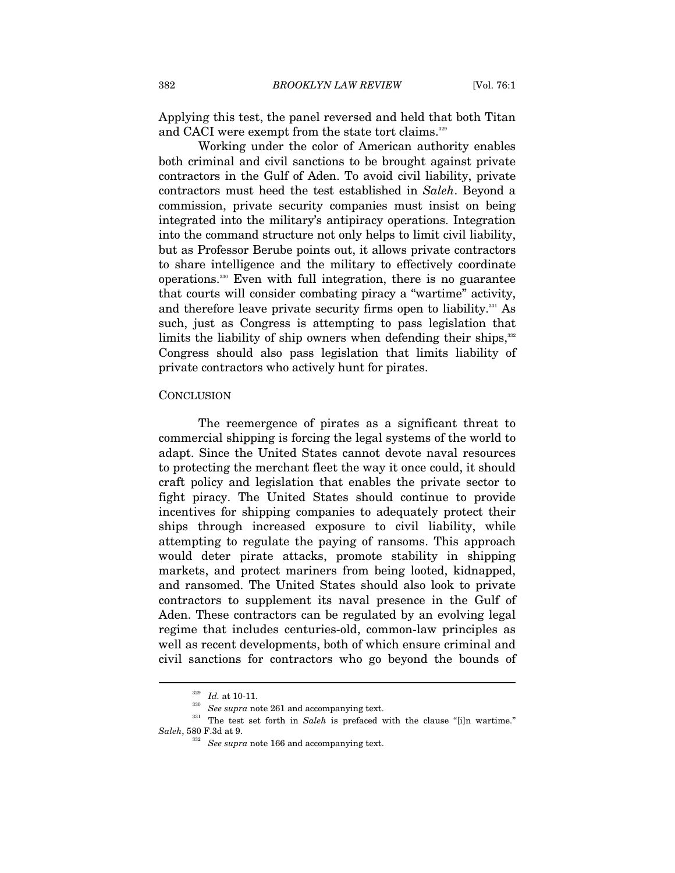Applying this test, the panel reversed and held that both Titan and CACI were exempt from the state tort claims.<sup>329</sup>

Working under the color of American authority enables both criminal and civil sanctions to be brought against private contractors in the Gulf of Aden. To avoid civil liability, private contractors must heed the test established in *Saleh*. Beyond a commission, private security companies must insist on being integrated into the military's antipiracy operations. Integration into the command structure not only helps to limit civil liability, but as Professor Berube points out, it allows private contractors to share intelligence and the military to effectively coordinate operations.330 Even with full integration, there is no guarantee that courts will consider combating piracy a "wartime" activity, and therefore leave private security firms open to liability.<sup>331</sup> As such, just as Congress is attempting to pass legislation that limits the liability of ship owners when defending their ships,<sup>332</sup> Congress should also pass legislation that limits liability of private contractors who actively hunt for pirates.

#### **CONCLUSION**

The reemergence of pirates as a significant threat to commercial shipping is forcing the legal systems of the world to adapt. Since the United States cannot devote naval resources to protecting the merchant fleet the way it once could, it should craft policy and legislation that enables the private sector to fight piracy. The United States should continue to provide incentives for shipping companies to adequately protect their ships through increased exposure to civil liability, while attempting to regulate the paying of ransoms. This approach would deter pirate attacks, promote stability in shipping markets, and protect mariners from being looted, kidnapped, and ransomed. The United States should also look to private contractors to supplement its naval presence in the Gulf of Aden. These contractors can be regulated by an evolving legal regime that includes centuries-old, common-law principles as well as recent developments, both of which ensure criminal and civil sanctions for contractors who go beyond the bounds of

<sup>&</sup>lt;sup>329</sup> *Id.* at 10-11.<br><sup>330</sup> *See supra* note 261 and accompanying text.<br><sup>331</sup> The test set forth in *Saleh* is prefaced with the clause "[i]n wartime."<br>*Saleh*, 580 F.3d at 9.

<sup>&</sup>lt;sup>332</sup> See *supra* note 166 and accompanying text.